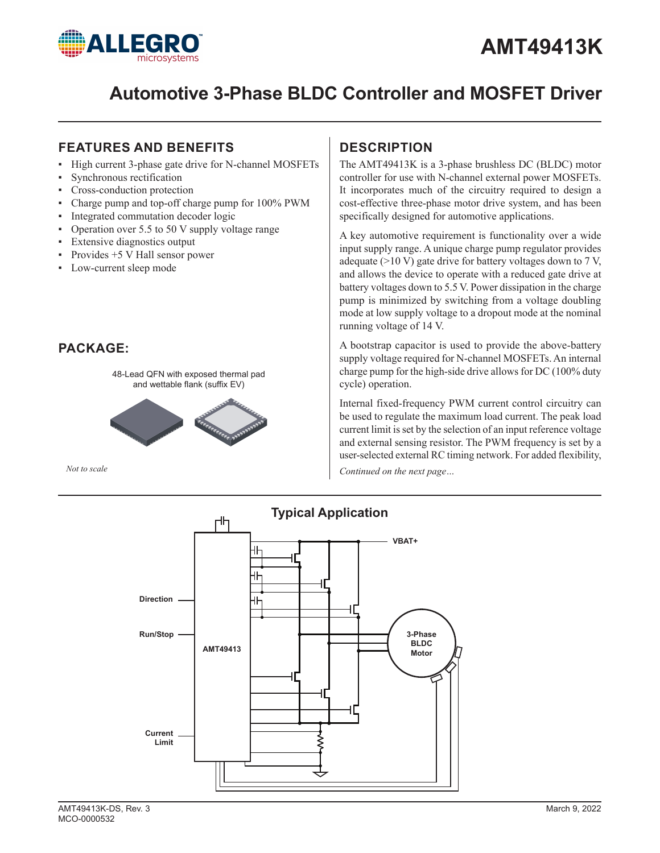

# **AMT49413K**

# **Automotive 3-Phase BLDC Controller and MOSFET Driver**

## **FEATURES AND BENEFITS**

- ▪ High current 3-phase gate drive for N-channel MOSFETs
- Synchronous rectification
- Cross-conduction protection
- Charge pump and top-off charge pump for 100% PWM
- Integrated commutation decoder logic
- Operation over 5.5 to 50 V supply voltage range
- Extensive diagnostics output
- Provides  $+5$  V Hall sensor power
- Low-current sleep mode

## **PACKAGE:**

48-Lead QFN with exposed thermal pad and wettable flank (suffix EV)



*Not to scale*

## **DESCRIPTION**

The AMT49413K is a 3-phase brushless DC (BLDC) motor controller for use with N-channel external power MOSFETs. It incorporates much of the circuitry required to design a cost-effective three-phase motor drive system, and has been specifically designed for automotive applications.

A key automotive requirement is functionality over a wide input supply range. A unique charge pump regulator provides adequate (>10 V) gate drive for battery voltages down to 7 V, and allows the device to operate with a reduced gate drive at battery voltages down to 5.5 V. Power dissipation in the charge pump is minimized by switching from a voltage doubling mode at low supply voltage to a dropout mode at the nominal running voltage of 14 V.

A bootstrap capacitor is used to provide the above-battery supply voltage required for N-channel MOSFETs. An internal charge pump for the high-side drive allows for DC (100% duty cycle) operation.

Internal fixed-frequency PWM current control circuitry can be used to regulate the maximum load current. The peak load current limit is set by the selection of an input reference voltage and external sensing resistor. The PWM frequency is set by a user-selected external RC timing network. For added flexibility,

*Continued on the next page…*

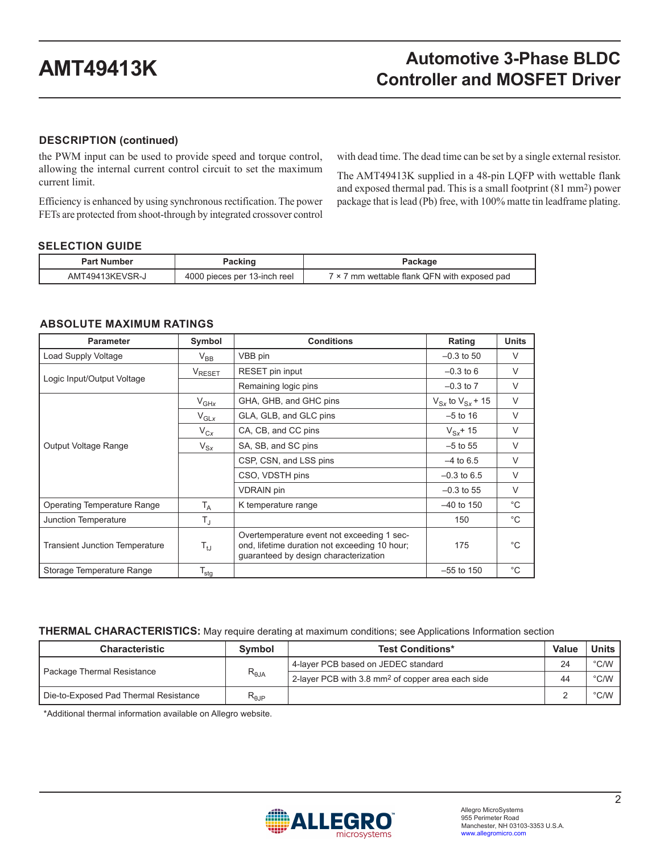### **DESCRIPTION (continued)**

the PWM input can be used to provide speed and torque control, allowing the internal current control circuit to set the maximum current limit.

Efficiency is enhanced by using synchronous rectification. The power FETs are protected from shoot-through by integrated crossover control with dead time. The dead time can be set by a single external resistor.

The AMT49413K supplied in a 48-pin LQFP with wettable flank and exposed thermal pad. This is a small footprint (81 mm2) power package that is lead (Pb) free, with 100% matte tin leadframe plating.

### **SELECTION GUIDE**

| Part Number     | Packing                      | Package                                      |
|-----------------|------------------------------|----------------------------------------------|
| AMT49413KEVSR-J | 4000 pieces per 13-inch reel | 7 × 7 mm wettable flank QFN with exposed pad |

### **ABSOLUTE MAXIMUM RATINGS**

| <b>Parameter</b>                      | Symbol                  | <b>Conditions</b>                                                                                                                    | Rating                    | <b>Units</b> |
|---------------------------------------|-------------------------|--------------------------------------------------------------------------------------------------------------------------------------|---------------------------|--------------|
| Load Supply Voltage                   | $V_{BB}$                | VBB pin                                                                                                                              | $-0.3$ to 50              | $\vee$       |
|                                       | V <sub>RESET</sub>      | <b>RESET</b> pin input                                                                                                               | $-0.3$ to 6               | V            |
| Logic Input/Output Voltage            |                         | Remaining logic pins                                                                                                                 | $-0.3$ to $7$             | V            |
|                                       | $V_{GHX}$               | GHA, GHB, and GHC pins                                                                                                               | $V_{Sx}$ to $V_{Sx}$ + 15 | $\vee$       |
|                                       | $V_{GLX}$               | GLA, GLB, and GLC pins                                                                                                               | $-5$ to 16                | V            |
|                                       | $V_{Cx}$                | CA, CB, and CC pins                                                                                                                  | $V_{Sx}$ + 15             | V            |
| Output Voltage Range                  | $V_{Sx}$                | SA, SB, and SC pins                                                                                                                  | $-5$ to 55                | $\vee$       |
|                                       |                         | CSP, CSN, and LSS pins                                                                                                               | $-4$ to 6.5               | $\vee$       |
|                                       |                         | CSO, VDSTH pins                                                                                                                      | $-0.3$ to 6.5             | V            |
|                                       |                         | <b>VDRAIN</b> pin                                                                                                                    | $-0.3$ to 55              | $\vee$       |
| <b>Operating Temperature Range</b>    | $\mathsf{T}_\mathsf{A}$ | K temperature range                                                                                                                  | $-40$ to 150              | $^{\circ}$ C |
| Junction Temperature                  | $T_{\rm J}$             |                                                                                                                                      | 150                       | °C           |
| <b>Transient Junction Temperature</b> | $T_{tJ}$                | Overtemperature event not exceeding 1 sec-<br>ond, lifetime duration not exceeding 10 hour;<br>guaranteed by design characterization | 175                       | °C           |
| Storage Temperature Range             | $T_{\text{stg}}$        |                                                                                                                                      | $-55$ to 150              | °C           |

### **THERMAL CHARACTERISTICS:** May require derating at maximum conditions; see Applications Information section

| <b>Characteristic</b>                 | Symbol                    | <b>Test Conditions*</b>                                       | Value | <b>Units</b>  |
|---------------------------------------|---------------------------|---------------------------------------------------------------|-------|---------------|
| Package Thermal Resistance            |                           | 4-layer PCB based on JEDEC standard                           | 24    | $\degree$ C/W |
|                                       | $R_{\theta JA}$           | 2-layer PCB with 3.8 mm <sup>2</sup> of copper area each side | 44    | $\degree$ C/W |
| Die-to-Exposed Pad Thermal Resistance | $\mathsf{R}_{\text{0JP}}$ |                                                               |       | $\degree$ C/W |

\*Additional thermal information available on Allegro website.

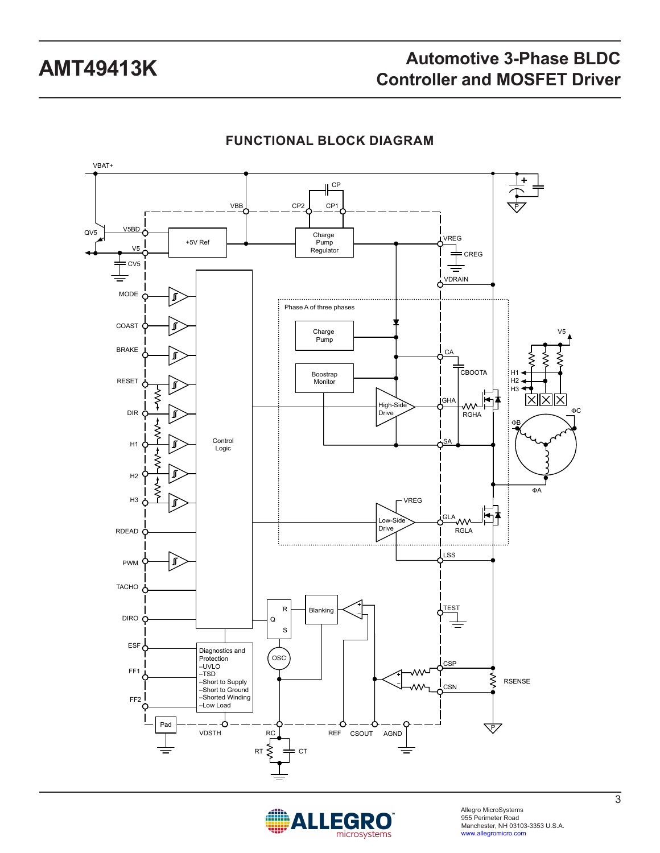

## **FUNCTIONAL BLOCK DIAGRAM**



Allegro MicroSystems 955 Perimeter Road Manchester, NH 03103-3353 U.S.A. www.allegromicro.com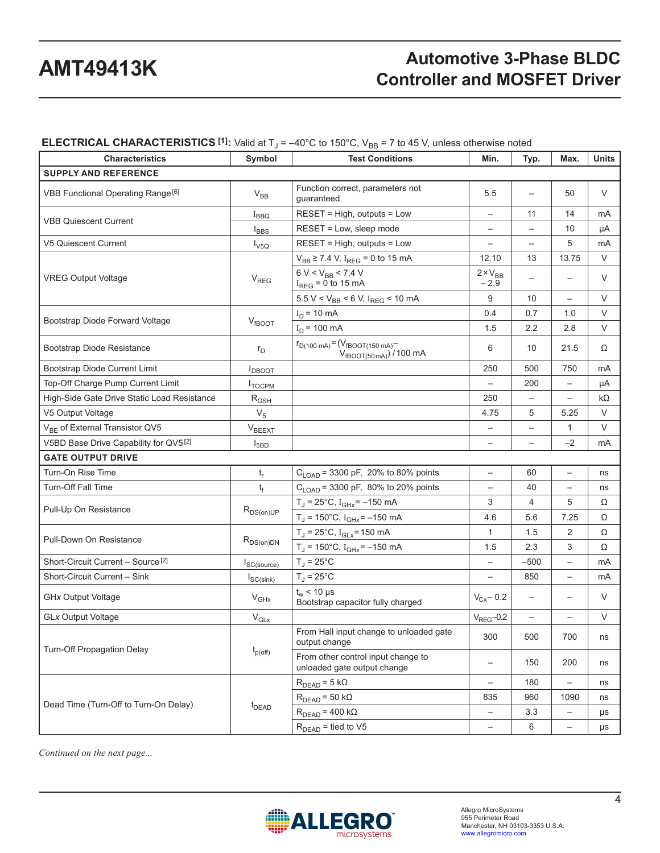### **ELECTRICAL CHARACTERISTICS [1]:** Valid at T<sub>J</sub> = -40°C to 150°C, V<sub>BB</sub> = 7 to 45 V, unless otherwise noted

| <b>Characteristics</b><br>Symbol              |                             | <b>Test Conditions</b>                                                                | Min.                        | Typ.                     | Max.                     | <b>Units</b> |
|-----------------------------------------------|-----------------------------|---------------------------------------------------------------------------------------|-----------------------------|--------------------------|--------------------------|--------------|
| <b>SUPPLY AND REFERENCE</b>                   |                             |                                                                                       |                             |                          |                          |              |
| VBB Functional Operating Range <sup>[6]</sup> | $V_{BB}$                    | Function correct, parameters not<br>quaranteed                                        | 5.5                         | $\overline{\phantom{0}}$ | 50                       | V            |
|                                               | $I_{BBQ}$                   | $REST = High, outputs = Low$                                                          |                             | 11                       | 14                       | mA           |
| <b>VBB Quiescent Current</b>                  | $I_{BBS}$                   | RESET = Low, sleep mode                                                               |                             | $\overline{\phantom{0}}$ | 10                       | μA           |
| <b>V5 Quiescent Current</b>                   | $I_{\rm V5Q}$               | $REST = High, outputs = Low$                                                          | $\qquad \qquad -$           | $\qquad \qquad -$        | 5                        | mA           |
|                                               |                             | $V_{BB} \ge 7.4$ V, I <sub>REG</sub> = 0 to 15 mA                                     | 12.10                       | 13                       | 13.75                    | $\vee$       |
| <b>VREG Output Voltage</b>                    | $V_{REG}$                   | $6 V < V_{BB} < 7.4 V$<br>$I_{REG} = 0$ to 15 mA                                      | $2 \times V_{BB}$<br>$-2.9$ |                          | $\overline{\phantom{0}}$ | V            |
|                                               |                             | $5.5 V < V_{BB} < 6 V$ , I <sub>REG</sub> < 10 mA                                     | 9                           | 10                       |                          | V            |
| Bootstrap Diode Forward Voltage               |                             | $I_D$ = 10 mA                                                                         | 0.4                         | 0.7                      | 1.0                      | V            |
|                                               | $V_{fBOOT}$                 | $I_D$ = 100 mA                                                                        | 1.5                         | 2.2                      | 2.8                      | V            |
| Bootstrap Diode Resistance                    | $r_{D}$                     | $r_{D(100 \text{ mA})} = (V_{fBOOT(150 \text{ mA})} -$<br>$V_{fBOOT(50mA)})$ / 100 mA | 6                           | 10                       | 21.5                     | Ω            |
| Bootstrap Diode Current Limit                 | $I_{DBOOT}$                 |                                                                                       | 250                         | 500                      | 750                      | mA           |
| Top-Off Charge Pump Current Limit             | $I_{\text{TOCPM}}$          |                                                                                       |                             | 200                      |                          | μA           |
| High-Side Gate Drive Static Load Resistance   | $\rm R_{GSH}$               |                                                                                       | 250                         | $\qquad \qquad -$        | $\qquad \qquad -$        | kΩ           |
| V5 Output Voltage                             | $V_5$                       |                                                                                       | 4.75                        | 5                        | 5.25                     | V            |
| V <sub>BE</sub> of External Transistor QV5    | $V_{BEEXT}$                 |                                                                                       |                             | —                        | 1                        | $\vee$       |
| V5BD Base Drive Capability for QV5[2]         | $I_{5BD}$                   |                                                                                       | $\overline{\phantom{m}}$    | $\overline{\phantom{0}}$ | $-2$                     | mA           |
| <b>GATE OUTPUT DRIVE</b>                      |                             |                                                                                       |                             |                          |                          |              |
| Turn-On Rise Time                             | $t_r$                       | $C_{\text{LOAD}}$ = 3300 pF, 20% to 80% points                                        | $\overline{\phantom{0}}$    | 60                       | $\overline{\phantom{0}}$ | ns           |
| <b>Turn-Off Fall Time</b>                     | t <sub>f</sub>              | $C_{\text{LOAD}}$ = 3300 pF, 80% to 20% points                                        |                             | 40                       | $\qquad \qquad -$        | ns           |
| Pull-Up On Resistance                         |                             | $T_J = 25^{\circ}C$ , $I_{GHx} = -150$ mA                                             | 3                           | 4                        | 5                        | Ω            |
|                                               | $R_{DS(on)UP}$              | $T_J$ = 150°C, $I_{GHx}$ = -150 mA                                                    | 4.6                         | 5.6                      | 7.25                     | Ω            |
| Pull-Down On Resistance                       |                             | $T_J = 25^{\circ}C$ , $I_{GLX} = 150$ mA                                              | $\mathbf{1}$                | 1.5                      | 2                        | Ω            |
|                                               | $R_{DS(on)DN}$              | $T_J = 150^{\circ}C$ , $I_{GHz} = -150$ mA                                            | 1.5                         | 2.3                      | 3                        | Ω            |
| Short-Circuit Current - Source <sup>[2]</sup> | $I_{SC(source)}$            | $T_J = 25^{\circ}C$                                                                   | $\qquad \qquad -$           | $-500$                   | $\overline{\phantom{0}}$ | mA           |
| Short-Circuit Current - Sink                  | $I_{SC(sink)}$              | $T_J = 25^{\circ}C$                                                                   |                             | 850                      |                          | mA           |
| <b>GHx Output Voltage</b>                     | $V_{GHX}$                   | $t_w$ < 10 µs<br>Bootstrap capacitor fully charged                                    | $V_{Cx} - 0.2$              | $\overline{\phantom{0}}$ | $\overline{\phantom{0}}$ | V            |
| <b>GLx Output Voltage</b>                     | $\mathsf{V}_{\mathsf{GLx}}$ |                                                                                       | $V_{REG}$ -0.2              | $\overline{\phantom{a}}$ | $\qquad \qquad -$        | V            |
|                                               |                             | From Hall input change to unloaded gate<br>output change                              | 300                         | 500                      | 700                      | ns           |
| Turn-Off Propagation Delay                    | $t_{p(off)}$                | From other control input change to<br>unloaded gate output change                     | $\overline{\phantom{m}}$    | 150                      | 200                      | ns           |
|                                               |                             | $RDEAD = 5 k\Omega$                                                                   | $\overline{\phantom{a}}$    | 180                      | $\qquad \qquad -$        | ns           |
|                                               |                             | $RDEAD = 50 k\Omega$                                                                  | 835                         | 960                      | 1090                     | ns           |
| Dead Time (Turn-Off to Turn-On Delay)         | $t_{DEAD}$                  | $RDEAD = 400 k\Omega$                                                                 |                             | 3.3                      | $\qquad \qquad -$        | μs           |
|                                               |                             | $RDEAD$ = tied to $V5$                                                                | $\overline{\phantom{a}}$    | 6                        | $\qquad \qquad -$        | μs           |

*Continued on the next page...*

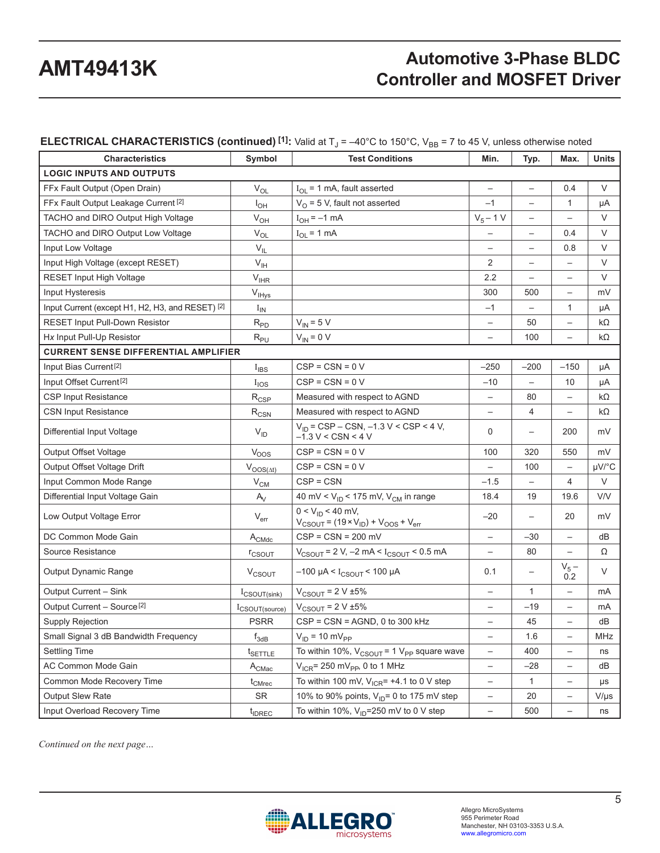### **ELECTRICAL CHARACTERISTICS (continued) [1]:** Valid at T<sub>J</sub> = -40°C to 150°C, V<sub>BB</sub> = 7 to 45 V, unless otherwise noted

| <b>Characteristics</b><br>Symbol                 |                              | <b>Test Conditions</b>                                                        | Min.                     | Typ.                     | Max.                     | <b>Units</b> |
|--------------------------------------------------|------------------------------|-------------------------------------------------------------------------------|--------------------------|--------------------------|--------------------------|--------------|
| <b>LOGIC INPUTS AND OUTPUTS</b>                  |                              |                                                                               |                          |                          |                          |              |
| FFx Fault Output (Open Drain)                    | $V_{OL}$                     | $I_{OL}$ = 1 mA, fault asserted                                               |                          | $\overline{\phantom{0}}$ | 0.4                      | V            |
| FFx Fault Output Leakage Current <sup>[2]</sup>  | $I_{OH}$                     | $VO$ = 5 V, fault not asserted                                                | $-1$                     | $\qquad \qquad -$        | 1                        | μA           |
| TACHO and DIRO Output High Voltage               | $V_{OH}$                     | $I_{OH} = -1$ mA                                                              | $V_5 - 1 V$              | $\qquad \qquad -$        | $\qquad \qquad -$        | V            |
| TACHO and DIRO Output Low Voltage                | $V_{OL}$                     | $I_{OL}$ = 1 mA                                                               |                          | $\qquad \qquad -$        | 0.4                      | V            |
| Input Low Voltage                                | $\mathsf{V}_{\mathsf{IL}}$   |                                                                               |                          | $\qquad \qquad -$        | 0.8                      | $\vee$       |
| Input High Voltage (except RESET)                | $V_{\text{IH}}$              |                                                                               | 2                        | $\qquad \qquad -$        | $\overline{\phantom{0}}$ | V            |
| <b>RESET Input High Voltage</b>                  | $\mathsf{V}_{\mathsf{IHR}}$  |                                                                               | 2.2                      | $\qquad \qquad -$        | $\qquad \qquad -$        | $\vee$       |
| Input Hysteresis                                 | $V_{Hys}$                    |                                                                               | 300                      | 500                      | $\overline{\phantom{0}}$ | mV           |
| Input Current (except H1, H2, H3, and RESET) [2] | $I_{IN}$                     |                                                                               | $-1$                     | $\qquad \qquad -$        | 1                        | μA           |
| RESET Input Pull-Down Resistor                   | $R_{PD}$                     | $V_{IN}$ = 5 V                                                                | $\overline{\phantom{0}}$ | 50                       | $\overline{\phantom{0}}$ | kΩ           |
| Hx Input Pull-Up Resistor                        | $R_{PU}$                     | $V_{IN} = 0 V$                                                                | $\overline{\phantom{0}}$ | 100                      | $\overline{\phantom{0}}$ | kΩ           |
| <b>CURRENT SENSE DIFFERENTIAL AMPLIFIER</b>      |                              |                                                                               |                          |                          |                          |              |
| Input Bias Current <sup>[2]</sup>                | $I_{IBS}$                    | $CSP = CSN = 0 V$                                                             | $-250$                   | $-200$                   | $-150$                   | μA           |
| Input Offset Current <sup>[2]</sup>              | I <sub>IOS</sub>             | $CSP = CSN = 0 V$                                                             | $-10$                    | $\qquad \qquad -$        | 10                       | μA           |
| <b>CSP Input Resistance</b>                      | $\rm R_{\rm CSP}$            | Measured with respect to AGND                                                 | $\overline{\phantom{0}}$ | 80                       | -                        | kΩ           |
| <b>CSN Input Resistance</b>                      | $R_{CSN}$                    | Measured with respect to AGND                                                 | $\overline{\phantom{0}}$ | 4                        | $\qquad \qquad -$        | kΩ           |
| Differential Input Voltage                       | $V_{ID}$                     | $V_{ID}$ = CSP – CSN, –1.3 V < CSP < 4 V,<br>$-1.3 V < CSN < 4 V$             | $\mathbf 0$              | $\overline{\phantom{0}}$ | 200                      | mV           |
| <b>Output Offset Voltage</b>                     | $V_{OOS}$                    | $CSP = CSN = 0 V$                                                             | 100                      | 320                      | 550                      | mV           |
| Output Offset Voltage Drift                      | $V_{OOS(\Delta t)}$          | $CSP = CSN = 0 V$                                                             |                          | 100                      | $\overline{\phantom{0}}$ | µV/°C        |
| Input Common Mode Range                          | $V_{CM}$                     | $CSP = CSN$                                                                   | $-1.5$                   | $\qquad \qquad -$        | 4                        | V            |
| Differential Input Voltage Gain                  | $A_V$                        | 40 mV < $V_{ID}$ < 175 mV, $V_{CM}$ in range                                  | 18.4                     | 19                       | 19.6                     | V/V          |
| Low Output Voltage Error                         | $V_{err}$                    | $0 < V_{ID} < 40$ mV,<br>$V_{CSOUT} = (19 \times V_{ID}) + V_{OOS} + V_{err}$ | $-20$                    | $\qquad \qquad -$        | 20                       | mV           |
| DC Common Mode Gain                              | $\mathsf{A}_{\mathsf{CMdc}}$ | $CSP = CSN = 200$ mV                                                          | $\overline{\phantom{0}}$ | $-30$                    | $\overline{\phantom{0}}$ | dB           |
| Source Resistance                                | <b>r</b> <sub>CSOUT</sub>    | $V_{CSOUT}$ = 2 V, -2 mA < $I_{CSOUT}$ < 0.5 mA                               | $\overline{\phantom{0}}$ | 80                       | $\overline{\phantom{0}}$ | Ω            |
| <b>Output Dynamic Range</b>                      | <b>V<sub>CSOUT</sub></b>     | $-100 \mu A < I_{CSOUT}$ < 100 $\mu A$                                        | 0.1                      | $\qquad \qquad -$        | $V_5 -$<br>0.2           | V            |
| Output Current - Sink                            | I <sub>CSOUT(sink)</sub>     | $V_{CSOUT}$ = 2 V ±5%                                                         | —                        | $\mathbf{1}$             | $\overline{\phantom{a}}$ | mA           |
| Output Current - Source <sup>[2]</sup>           | I <sub>CSOUT(source)</sub>   | $V_{CSOUT}$ = 2 V $\pm 5\%$                                                   | $\overline{\phantom{0}}$ | $-19$                    | $\overline{\phantom{0}}$ | mA           |
| Supply Rejection                                 | <b>PSRR</b>                  | $CSP = CSN = AGND$ , 0 to 300 kHz                                             |                          | 45                       | $\overline{\phantom{0}}$ | dB           |
| Small Signal 3 dB Bandwidth Frequency            | $t_{3dB}$                    | $V_{\text{ID}} = 10 \text{ mV}_{\text{PP}}$                                   | $\overline{\phantom{a}}$ | 1.6                      | $\overline{\phantom{m}}$ | MHz          |
| <b>Settling Time</b>                             | t <sub>SETTLE</sub>          | To within 10%, $V_{CSOUT}$ = 1 $V_{PP}$ square wave                           | $\overline{\phantom{0}}$ | 400                      | $\qquad \qquad -$        | ns           |
| AC Common Mode Gain                              | $A_{CMac}$                   | $V_{ICR}$ = 250 mV <sub>PP</sub> , 0 to 1 MHz                                 | -                        | $-28$                    | $\qquad \qquad -$        | dB           |
| Common Mode Recovery Time                        | t <sub>CMrec</sub>           | To within 100 mV, $V_{ICR}$ = +4.1 to 0 V step                                | -                        | $\mathbf{1}$             | $\overline{\phantom{a}}$ | μs           |
| <b>Output Slew Rate</b>                          | <b>SR</b>                    | 10% to 90% points, $V_{ID} = 0$ to 175 mV step                                | $\overline{\phantom{0}}$ | 20                       | $\overline{\phantom{a}}$ | $V/\mu s$    |
| Input Overload Recovery Time                     | $t_{IDREC}$                  | To within 10%, $V_{ID}$ =250 mV to 0 V step                                   | —                        | 500                      | $\overline{\phantom{0}}$ | ns           |

*Continued on the next page…*

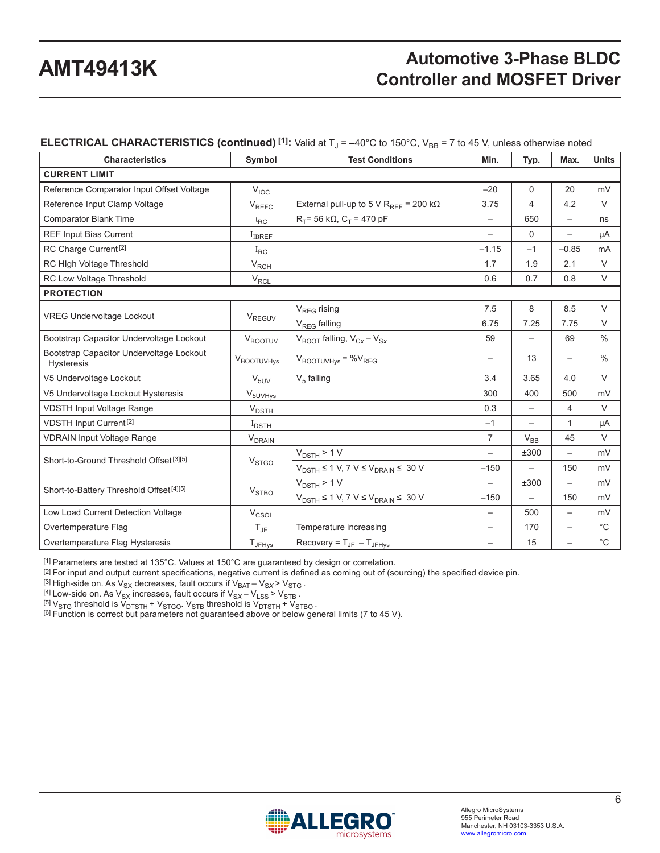### **ELECTRICAL CHARACTERISTICS (continued) [1]:** Valid at T<sub>J</sub> = -40°C to 150°C, V<sub>BB</sub> = 7 to 45 V, unless otherwise noted

| Symbol<br><b>Characteristics</b>                              |                         | <b>Test Conditions</b>                                      | Min.                     | Typ.                     | Max.                     | <b>Units</b>  |
|---------------------------------------------------------------|-------------------------|-------------------------------------------------------------|--------------------------|--------------------------|--------------------------|---------------|
| <b>CURRENT LIMIT</b>                                          |                         |                                                             |                          |                          |                          |               |
| Reference Comparator Input Offset Voltage                     | V <sub>IOC</sub>        |                                                             | $-20$                    | $\Omega$                 | 20                       | mV            |
| Reference Input Clamp Voltage                                 | $V_{REFC}$              | External pull-up to 5 V R <sub>REF</sub> = 200 k $\Omega$   | 3.75                     | $\overline{\mathbf{4}}$  | 4.2                      | $\vee$        |
| <b>Comparator Blank Time</b>                                  | $t_{RC}$                | $R_T$ = 56 kΩ, C <sub>T</sub> = 470 pF                      | $\overline{\phantom{0}}$ | 650                      | $\overline{\phantom{0}}$ | ns            |
| <b>REF Input Bias Current</b>                                 | I <sub>IBREF</sub>      |                                                             | $\overline{\phantom{0}}$ | $\Omega$                 | $\overline{\phantom{0}}$ | μA            |
| RC Charge Current <sup>[2]</sup>                              | $I_{RC}$                |                                                             | $-1.15$                  | $-1$                     | $-0.85$                  | mA            |
| RC High Voltage Threshold                                     | $V_{RCH}$               |                                                             | 1.7                      | 1.9                      | 2.1                      | $\vee$        |
| RC Low Voltage Threshold                                      | V <sub>RCL</sub>        |                                                             | 0.6                      | 0.7                      | 0.8                      | $\vee$        |
| <b>PROTECTION</b>                                             |                         |                                                             |                          |                          |                          |               |
|                                                               |                         | V <sub>REG</sub> rising                                     | 7.5                      | 8                        | 8.5                      | $\vee$        |
| <b>VREG Undervoltage Lockout</b>                              | V <sub>REGUV</sub>      | V <sub>REG</sub> falling                                    | 6.75                     | 7.25                     | 7.75                     | V             |
| Bootstrap Capacitor Undervoltage Lockout                      | V <sub>BOOTUV</sub>     | $V_{\text{BOOT}}$ falling, $V_{Cx} - V_{Sx}$                | 59                       | $\overline{\phantom{0}}$ | 69                       | $\frac{0}{0}$ |
| Bootstrap Capacitor Undervoltage Lockout<br><b>Hysteresis</b> | VBOOTUVHys              |                                                             |                          | 13                       | —                        | $\frac{0}{0}$ |
| V5 Undervoltage Lockout                                       | $V_{5UV}$               | $V5$ falling                                                | 3.4                      | 3.65                     | 4.0                      | V             |
| V5 Undervoltage Lockout Hysteresis                            | $V_{5UVHys}$            |                                                             | 300                      | 400                      | 500                      | mV            |
| <b>VDSTH Input Voltage Range</b>                              | $V_{\text{DSTH}}$       |                                                             | 0.3                      | $\qquad \qquad -$        | 4                        | V             |
| VDSTH Input Current <sup>[2]</sup>                            | $I_{\text{DSTH}}$       |                                                             | $-1$                     | $\overline{\phantom{0}}$ | 1                        | μA            |
| <b>VDRAIN Input Voltage Range</b>                             | $V_{DRAIN}$             |                                                             | $\overline{7}$           | $V_{BB}$                 | 45                       | $\vee$        |
| Short-to-Ground Threshold Offset <sup>[3][5]</sup>            |                         | $V_{DSTH}$ > 1 V                                            | $\overline{\phantom{0}}$ | ±300                     | $\overline{\phantom{0}}$ | mV            |
|                                                               | <b>V<sub>STGO</sub></b> | $V_{DSTH} \le 1$ V, 7 V $\le$ V <sub>DRAIN</sub> $\le$ 30 V | $-150$                   | $\overline{\phantom{0}}$ | 150                      | mV            |
| Short-to-Battery Threshold Offset <sup>[4][5]</sup>           |                         | $V_{\text{DSTH}}$ > 1 V                                     |                          | ±300                     |                          | mV            |
|                                                               | $V_{STBO}$              | $V_{DSTH} \le 1$ V, 7 V $\le V_{DRAIN} \le 30$ V            | $-150$                   | $\overline{\phantom{0}}$ | 150                      | mV            |
| Low Load Current Detection Voltage                            | $V_{\text{CSOL}}$       |                                                             |                          | 500                      |                          | mV            |
| Overtemperature Flag                                          | $T_{\mathsf{JF}}$       | Temperature increasing                                      | $\qquad \qquad -$        | 170                      | $\overline{\phantom{0}}$ | $^{\circ}$ C  |
| Overtemperature Flag Hysteresis                               | T <sub>JFHys</sub>      | Recovery = $T_{JF} - T_{JFHys}$                             | $\qquad \qquad -$        | 15                       | $\overline{\phantom{0}}$ | $^{\circ}$ C  |

[1] Parameters are tested at 135°C. Values at 150°C are guaranteed by design or correlation.

[2] For input and output current specifications, negative current is defined as coming out of (sourcing) the specified device pin.

<sup>13</sup> High-side on. As V<sub>SX</sub> decreases, fault occurs if V<sub>SAT</sub> – V<sub>SX</sub> > V<sub>STG</sub>.<br>
<sup>13</sup> High-side on. As V<sub>SX</sub> increases, fault occurs if V<sub>SAT</sub> – V<sub>SX</sub> > V<sub>STG</sub>.<br>
<sup>14</sup> Low-side on. As V<sub>SX</sub> increases, fault occurs if V<sub>SAT</sub>

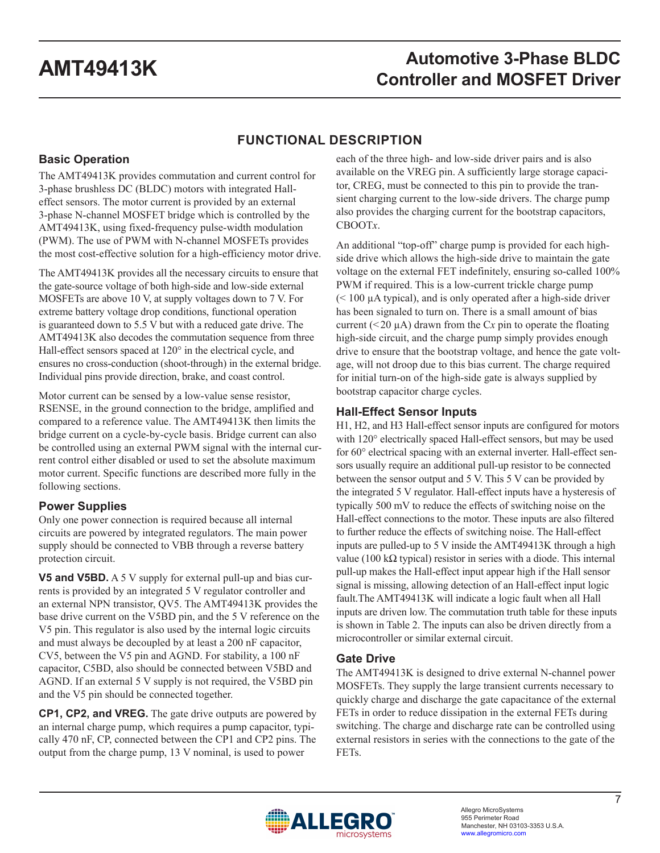## **FUNCTIONAL DESCRIPTION**

## **Basic Operation**

The AMT49413K provides commutation and current control for 3-phase brushless DC (BLDC) motors with integrated Halleffect sensors. The motor current is provided by an external 3-phase N-channel MOSFET bridge which is controlled by the AMT49413K, using fixed-frequency pulse-width modulation (PWM). The use of PWM with N-channel MOSFETs provides the most cost-effective solution for a high-efficiency motor drive.

The AMT49413K provides all the necessary circuits to ensure that the gate-source voltage of both high-side and low-side external MOSFETs are above 10 V, at supply voltages down to 7 V. For extreme battery voltage drop conditions, functional operation is guaranteed down to 5.5 V but with a reduced gate drive. The AMT49413K also decodes the commutation sequence from three Hall-effect sensors spaced at 120° in the electrical cycle, and ensures no cross-conduction (shoot-through) in the external bridge. Individual pins provide direction, brake, and coast control.

Motor current can be sensed by a low-value sense resistor, RSENSE, in the ground connection to the bridge, amplified and compared to a reference value. The AMT49413K then limits the bridge current on a cycle-by-cycle basis. Bridge current can also be controlled using an external PWM signal with the internal current control either disabled or used to set the absolute maximum motor current. Specific functions are described more fully in the following sections.

## **Power Supplies**

Only one power connection is required because all internal circuits are powered by integrated regulators. The main power supply should be connected to VBB through a reverse battery protection circuit.

**V5 and V5BD.** A 5 V supply for external pull-up and bias currents is provided by an integrated 5 V regulator controller and an external NPN transistor, QV5. The AMT49413K provides the base drive current on the V5BD pin, and the 5 V reference on the V5 pin. This regulator is also used by the internal logic circuits and must always be decoupled by at least a 200 nF capacitor, CV5, between the V5 pin and AGND. For stability, a 100 nF capacitor, C5BD, also should be connected between V5BD and AGND. If an external 5 V supply is not required, the V5BD pin and the V5 pin should be connected together.

**CP1, CP2, and VREG.** The gate drive outputs are powered by an internal charge pump, which requires a pump capacitor, typically 470 nF, CP, connected between the CP1 and CP2 pins. The output from the charge pump, 13 V nominal, is used to power

each of the three high- and low-side driver pairs and is also available on the VREG pin. A sufficiently large storage capacitor, CREG, must be connected to this pin to provide the transient charging current to the low-side drivers. The charge pump also provides the charging current for the bootstrap capacitors, CBOOT*x*.

An additional "top-off" charge pump is provided for each highside drive which allows the high-side drive to maintain the gate voltage on the external FET indefinitely, ensuring so-called 100% PWM if required. This is a low-current trickle charge pump (< 100 µA typical), and is only operated after a high-side driver has been signaled to turn on. There is a small amount of bias current ( $\leq$ 20  $\mu$ A) drawn from the C*x* pin to operate the floating high-side circuit, and the charge pump simply provides enough drive to ensure that the bootstrap voltage, and hence the gate voltage, will not droop due to this bias current. The charge required for initial turn-on of the high-side gate is always supplied by bootstrap capacitor charge cycles.

## **Hall-Effect Sensor Inputs**

H1, H2, and H3 Hall-effect sensor inputs are configured for motors with 120° electrically spaced Hall-effect sensors, but may be used for 60° electrical spacing with an external inverter. Hall-effect sensors usually require an additional pull-up resistor to be connected between the sensor output and 5 V. This 5 V can be provided by the integrated 5 V regulator. Hall-effect inputs have a hysteresis of typically 500 mV to reduce the effects of switching noise on the Hall-effect connections to the motor. These inputs are also filtered to further reduce the effects of switching noise. The Hall-effect inputs are pulled-up to 5 V inside the AMT49413K through a high value (100 kΩ typical) resistor in series with a diode. This internal pull-up makes the Hall-effect input appear high if the Hall sensor signal is missing, allowing detection of an Hall-effect input logic fault.The AMT49413K will indicate a logic fault when all Hall inputs are driven low. The commutation truth table for these inputs is shown in Table 2. The inputs can also be driven directly from a microcontroller or similar external circuit.

### **Gate Drive**

The AMT49413K is designed to drive external N-channel power MOSFETs. They supply the large transient currents necessary to quickly charge and discharge the gate capacitance of the external FETs in order to reduce dissipation in the external FETs during switching. The charge and discharge rate can be controlled using external resistors in series with the connections to the gate of the FETs.

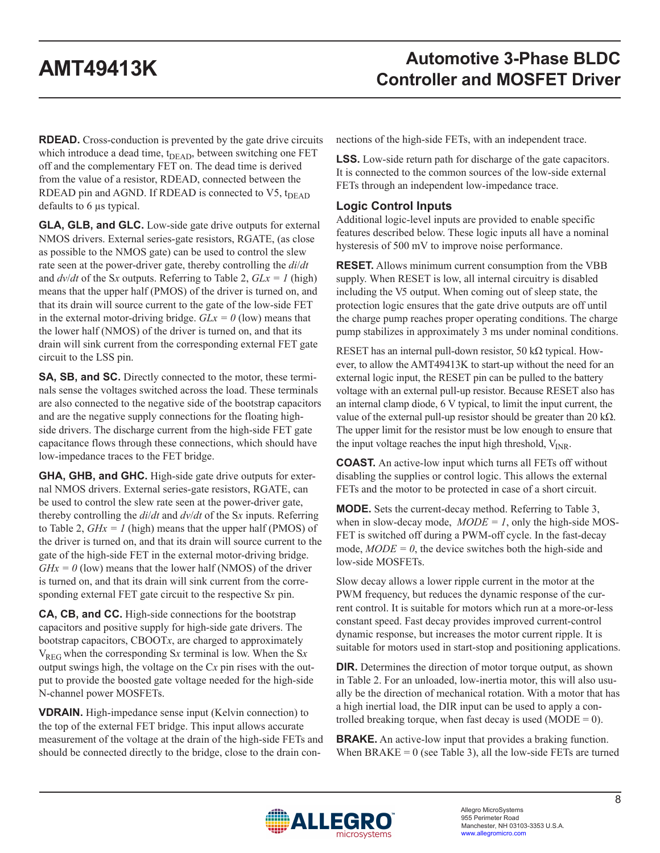**RDEAD.** Cross-conduction is prevented by the gate drive circuits which introduce a dead time, t<sub>DEAD</sub>, between switching one FET off and the complementary FET on. The dead time is derived from the value of a resistor, RDEAD, connected between the RDEAD pin and AGND. If RDEAD is connected to  $V5$ ,  $t_{DEAD}$ defaults to 6 µs typical.

**GLA, GLB, and GLC.** Low-side gate drive outputs for external NMOS drivers. External series-gate resistors, RGATE, (as close as possible to the NMOS gate) can be used to control the slew rate seen at the power-driver gate, thereby controlling the *di*/*dt* and  $dv/dt$  of the Sx outputs. Referring to [Table 2](#page-11-0),  $GLx = 1$  (high) means that the upper half (PMOS) of the driver is turned on, and that its drain will source current to the gate of the low-side FET in the external motor-driving bridge.  $GLx = 0$  (low) means that the lower half (NMOS) of the driver is turned on, and that its drain will sink current from the corresponding external FET gate circuit to the LSS pin.

**SA, SB, and SC.** Directly connected to the motor, these terminals sense the voltages switched across the load. These terminals are also connected to the negative side of the bootstrap capacitors and are the negative supply connections for the floating highside drivers. The discharge current from the high-side FET gate capacitance flows through these connections, which should have low-impedance traces to the FET bridge.

**GHA, GHB, and GHC.** High-side gate drive outputs for external NMOS drivers. External series-gate resistors, RGATE, can be used to control the slew rate seen at the power-driver gate, thereby controlling the *di*/*dt* and *dv*/*dt* of the S*x* inputs. Referring to [Table 2,](#page-11-0)  $GHx = 1$  (high) means that the upper half (PMOS) of the driver is turned on, and that its drain will source current to the gate of the high-side FET in the external motor-driving bridge.  $GHx = 0$  (low) means that the lower half (NMOS) of the driver is turned on, and that its drain will sink current from the corresponding external FET gate circuit to the respective S*x* pin.

**CA, CB, and CC.** High-side connections for the bootstrap capacitors and positive supply for high-side gate drivers. The bootstrap capacitors, CBOOT*x*, are charged to approximately  $V_{\text{REG}}$  when the corresponding Sx terminal is low. When the Sx output swings high, the voltage on the C*x* pin rises with the output to provide the boosted gate voltage needed for the high-side N-channel power MOSFETs.

**VDRAIN.** High-impedance sense input (Kelvin connection) to the top of the external FET bridge. This input allows accurate measurement of the voltage at the drain of the high-side FETs and should be connected directly to the bridge, close to the drain connections of the high-side FETs, with an independent trace.

**LSS.** Low-side return path for discharge of the gate capacitors. It is connected to the common sources of the low-side external FETs through an independent low-impedance trace.

### **Logic Control Inputs**

Additional logic-level inputs are provided to enable specific features described below. These logic inputs all have a nominal hysteresis of 500 mV to improve noise performance.

**RESET.** Allows minimum current consumption from the VBB supply. When RESET is low, all internal circuitry is disabled including the V5 output. When coming out of sleep state, the protection logic ensures that the gate drive outputs are off until the charge pump reaches proper operating conditions. The charge pump stabilizes in approximately 3 ms under nominal conditions.

RESET has an internal pull-down resistor, 50 kΩ typical. However, to allow the AMT49413K to start-up without the need for an external logic input, the RESET pin can be pulled to the battery voltage with an external pull-up resistor. Because RESET also has an internal clamp diode, 6 V typical, to limit the input current, the value of the external pull-up resistor should be greater than 20 kΩ. The upper limit for the resistor must be low enough to ensure that the input voltage reaches the input high threshold,  $V_{INR}$ .

**COAST.** An active-low input which turns all FETs off without disabling the supplies or control logic. This allows the external FETs and the motor to be protected in case of a short circuit.

**MODE.** Sets the current-decay method. Referring to [Table 3](#page-11-1), when in slow-decay mode,  $MODE = 1$ , only the high-side MOS-FET is switched off during a PWM-off cycle. In the fast-decay mode,  $MODE = 0$ , the device switches both the high-side and low-side MOSFETs.

Slow decay allows a lower ripple current in the motor at the PWM frequency, but reduces the dynamic response of the current control. It is suitable for motors which run at a more-or-less constant speed. Fast decay provides improved current-control dynamic response, but increases the motor current ripple. It is suitable for motors used in start-stop and positioning applications.

**DIR.** Determines the direction of motor torque output, as shown in [Table 2.](#page-11-0) For an unloaded, low-inertia motor, this will also usually be the direction of mechanical rotation. With a motor that has a high inertial load, the DIR input can be used to apply a controlled breaking torque, when fast decay is used (MODE = 0).

**BRAKE.** An active-low input that provides a braking function. When  $BRAKE = 0$  (see [Table 3](#page-11-1)), all the low-side FETs are turned

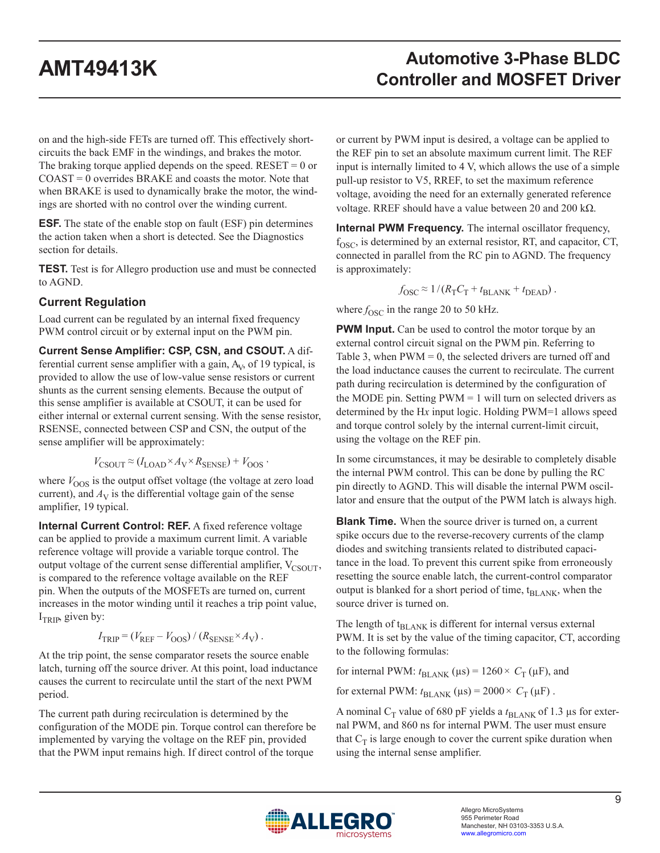on and the high-side FETs are turned off. This effectively shortcircuits the back EMF in the windings, and brakes the motor. The braking torque applied depends on the speed.  $RESET = 0$  or COAST = 0 overrides BRAKE and coasts the motor. Note that when BRAKE is used to dynamically brake the motor, the windings are shorted with no control over the winding current.

**ESF.** The state of the enable stop on fault (ESF) pin determines the action taken when a short is detected. See the Diagnostics section for details.

**TEST.** Test is for Allegro production use and must be connected to AGND.

## **Current Regulation**

Load current can be regulated by an internal fixed frequency PWM control circuit or by external input on the PWM pin.

**Current Sense Amplifier: CSP, CSN, and CSOUT.** A differential current sense amplifier with a gain,  $A_V$ , of 19 typical, is provided to allow the use of low-value sense resistors or current shunts as the current sensing elements. Because the output of this sense amplifier is available at CSOUT, it can be used for either internal or external current sensing. With the sense resistor, RSENSE, connected between CSP and CSN, the output of the sense amplifier will be approximately:

$$
V_{\text{CSOUT}} \approx (I_{\text{LOAD}} \times A_{\text{V}} \times R_{\text{SENSE}}) + V_{\text{OOS}} \,,
$$

where  $V_{\text{OOS}}$  is the output offset voltage (the voltage at zero load current), and  $A_V$  is the differential voltage gain of the sense amplifier, 19 typical.

**Internal Current Control: REF.** A fixed reference voltage can be applied to provide a maximum current limit. A variable reference voltage will provide a variable torque control. The output voltage of the current sense differential amplifier,  $V_{CSOUT}$ , is compared to the reference voltage available on the REF pin. When the outputs of the MOSFETs are turned on, current increases in the motor winding until it reaches a trip point value,  $I<sub>TRIP</sub>$ , given by:

$$
I_{\text{TRIP}} = (V_{\text{REF}} - V_{\text{OOS}}) / (R_{\text{SENSE}} \times A_{\text{V}}).
$$

At the trip point, the sense comparator resets the source enable latch, turning off the source driver. At this point, load inductance causes the current to recirculate until the start of the next PWM period.

The current path during recirculation is determined by the configuration of the MODE pin. Torque control can therefore be implemented by varying the voltage on the REF pin, provided that the PWM input remains high. If direct control of the torque

or current by PWM input is desired, a voltage can be applied to the REF pin to set an absolute maximum current limit. The REF input is internally limited to 4 V, which allows the use of a simple pull-up resistor to V5, RREF, to set the maximum reference voltage, avoiding the need for an externally generated reference voltage. RREF should have a value between 20 and 200 kΩ.

**Internal PWM Frequency.** The internal oscillator frequency,  $f_{\rm OSC}$ , is determined by an external resistor, RT, and capacitor, CT, connected in parallel from the RC pin to AGND. The frequency is approximately:

$$
f_{\rm OSC} \approx 1/(R_{\rm T}C_{\rm T} + t_{\rm BLANK} + t_{\rm DEAD})
$$
.

where  $f_{\rm OSC}$  in the range 20 to 50 kHz.

**PWM Input.** Can be used to control the motor torque by an external control circuit signal on the PWM pin. Referring to [Table 3,](#page-11-1) when  $PWM = 0$ , the selected drivers are turned off and the load inductance causes the current to recirculate. The current path during recirculation is determined by the configuration of the MODE pin. Setting  $PWM = 1$  will turn on selected drivers as determined by the H*x* input logic. Holding PWM=1 allows speed and torque control solely by the internal current-limit circuit, using the voltage on the REF pin.

In some circumstances, it may be desirable to completely disable the internal PWM control. This can be done by pulling the RC pin directly to AGND. This will disable the internal PWM oscillator and ensure that the output of the PWM latch is always high.

**Blank Time.** When the source driver is turned on, a current spike occurs due to the reverse-recovery currents of the clamp diodes and switching transients related to distributed capacitance in the load. To prevent this current spike from erroneously resetting the source enable latch, the current-control comparator output is blanked for a short period of time, t<sub>BLANK</sub>, when the source driver is turned on.

The length of  $t_{BLANK}$  is different for internal versus external PWM. It is set by the value of the timing capacitor, CT, according to the following formulas:

for internal PWM:  $t_{BLANK}$  ( $\mu$ s) = 1260 ×  $C_T$  ( $\mu$ F), and

for external PWM:  $t_{\text{BLANK}}$  ( $\mu$ s) = 2000 ×  $C_T$  ( $\mu$ F).

A nominal  $C_T$  value of 680 pF yields a  $t_{\text{BLANK}}$  of 1.3 µs for external PWM, and 860 ns for internal PWM. The user must ensure that  $C_T$  is large enough to cover the current spike duration when using the internal sense amplifier.

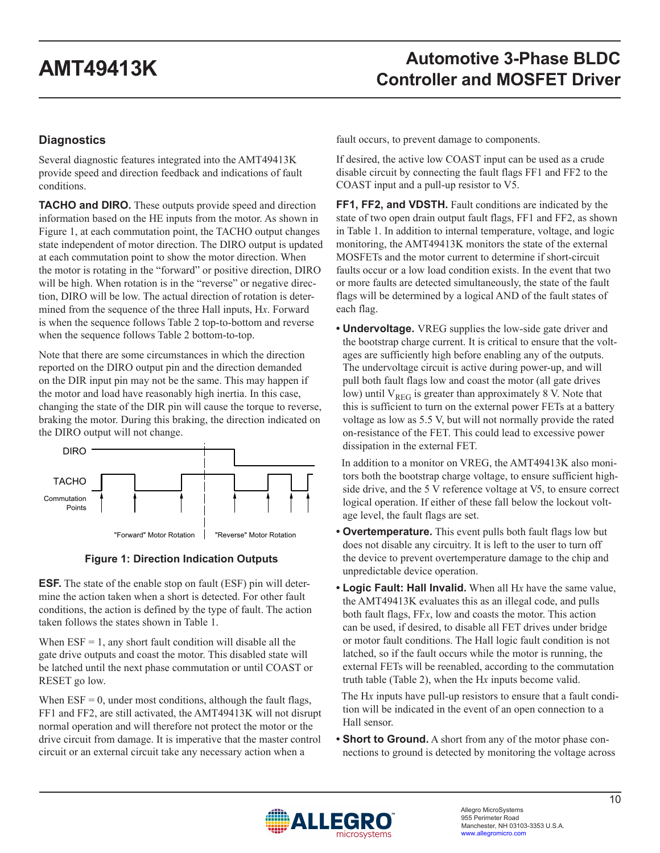## **Diagnostics**

Several diagnostic features integrated into the AMT49413K provide speed and direction feedback and indications of fault conditions.

**TACHO and DIRO.** These outputs provide speed and direction information based on the HE inputs from the motor. As shown in [Figure 1](#page-9-0), at each commutation point, the TACHO output changes state independent of motor direction. The DIRO output is updated at each commutation point to show the motor direction. When the motor is rotating in the "forward" or positive direction, DIRO will be high. When rotation is in the "reverse" or negative direction, DIRO will be low. The actual direction of rotation is determined from the sequence of the three Hall inputs, H*x*. Forward is when the sequence follows [Table 2](#page-11-0) top-to-bottom and reverse when the sequence follows [Table 2](#page-11-0) bottom-to-top.

Note that there are some circumstances in which the direction reported on the DIRO output pin and the direction demanded on the DIR input pin may not be the same. This may happen if the motor and load have reasonably high inertia. In this case, changing the state of the DIR pin will cause the torque to reverse, braking the motor. During this braking, the direction indicated on the DIRO output will not change.



**Figure 1: Direction Indication Outputs**

**ESF.** The state of the enable stop on fault (ESF) pin will determine the action taken when a short is detected. For other fault conditions, the action is defined by the type of fault. The action taken follows the states shown in [Table 1](#page-11-2).

When  $ESF = 1$ , any short fault condition will disable all the gate drive outputs and coast the motor. This disabled state will be latched until the next phase commutation or until COAST or RESET go low.

When  $ESF = 0$ , under most conditions, although the fault flags, FF1 and FF2, are still activated, the AMT49413K will not disrupt normal operation and will therefore not protect the motor or the drive circuit from damage. It is imperative that the master control circuit or an external circuit take any necessary action when a

fault occurs, to prevent damage to components.

If desired, the active low COAST input can be used as a crude disable circuit by connecting the fault flags FF1 and FF2 to the COAST input and a pull-up resistor to V5.

**FF1, FF2, and VDSTH.** Fault conditions are indicated by the state of two open drain output fault flags, FF1 and FF2, as shown in Table 1. In addition to internal temperature, voltage, and logic monitoring, the AMT49413K monitors the state of the external MOSFETs and the motor current to determine if short-circuit faults occur or a low load condition exists. In the event that two or more faults are detected simultaneously, the state of the fault flags will be determined by a logical AND of the fault states of each flag.

**• Undervoltage.** VREG supplies the low-side gate driver and the bootstrap charge current. It is critical to ensure that the voltages are sufficiently high before enabling any of the outputs. The undervoltage circuit is active during power-up, and will pull both fault flags low and coast the motor (all gate drives low) until  $V_{REG}$  is greater than approximately 8 V. Note that this is sufficient to turn on the external power FETs at a battery voltage as low as 5.5 V, but will not normally provide the rated on-resistance of the FET. This could lead to excessive power dissipation in the external FET.

 In addition to a monitor on VREG, the AMT49413K also monitors both the bootstrap charge voltage, to ensure sufficient highside drive, and the 5 V reference voltage at V5, to ensure correct logical operation. If either of these fall below the lockout voltage level, the fault flags are set.

- <span id="page-9-0"></span>**• Overtemperature.** This event pulls both fault flags low but does not disable any circuitry. It is left to the user to turn off the device to prevent overtemperature damage to the chip and unpredictable device operation.
- **• Logic Fault: Hall Invalid.** When all H*x* have the same value, the AMT49413K evaluates this as an illegal code, and pulls both fault flags, FF*x*, low and coasts the motor. This action can be used, if desired, to disable all FET drives under bridge or motor fault conditions. The Hall logic fault condition is not latched, so if the fault occurs while the motor is running, the external FETs will be reenabled, according to the commutation truth table ([Table 2](#page-11-0)), when the H*x* inputs become valid.

 The H*x* inputs have pull-up resistors to ensure that a fault condition will be indicated in the event of an open connection to a Hall sensor.

**• Short to Ground.** A short from any of the motor phase connections to ground is detected by monitoring the voltage across

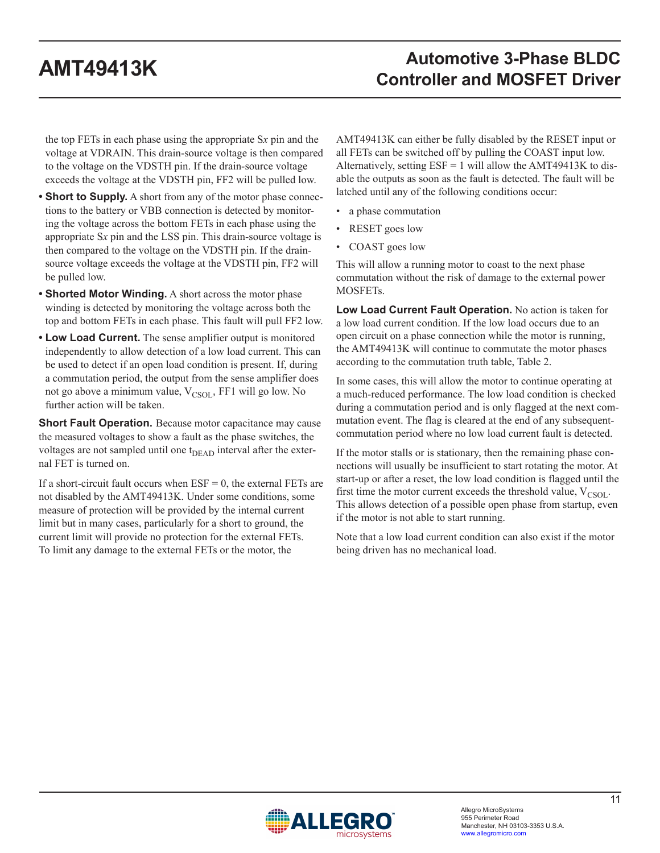the top FETs in each phase using the appropriate S*x* pin and the voltage at VDRAIN. This drain-source voltage is then compared to the voltage on the VDSTH pin. If the drain-source voltage exceeds the voltage at the VDSTH pin, FF2 will be pulled low.

- **• Short to Supply.** A short from any of the motor phase connections to the battery or VBB connection is detected by monitoring the voltage across the bottom FETs in each phase using the appropriate S*x* pin and the LSS pin. This drain-source voltage is then compared to the voltage on the VDSTH pin. If the drainsource voltage exceeds the voltage at the VDSTH pin, FF2 will be pulled low.
- **• Shorted Motor Winding.** A short across the motor phase winding is detected by monitoring the voltage across both the top and bottom FETs in each phase. This fault will pull FF2 low.
- **• Low Load Current.** The sense amplifier output is monitored independently to allow detection of a low load current. This can be used to detect if an open load condition is present. If, during a commutation period, the output from the sense amplifier does not go above a minimum value,  $V_{CSOL}$ , FF1 will go low. No further action will be taken.

**Short Fault Operation.** Because motor capacitance may cause the measured voltages to show a fault as the phase switches, the voltages are not sampled until one  $t_{DEAD}$  interval after the external FET is turned on.

If a short-circuit fault occurs when  $ESF = 0$ , the external FETs are not disabled by the AMT49413K. Under some conditions, some measure of protection will be provided by the internal current limit but in many cases, particularly for a short to ground, the current limit will provide no protection for the external FETs. To limit any damage to the external FETs or the motor, the

AMT49413K can either be fully disabled by the RESET input or all FETs can be switched off by pulling the COAST input low. Alternatively, setting  $ESF = 1$  will allow the AMT49413K to disable the outputs as soon as the fault is detected. The fault will be latched until any of the following conditions occur:

- a phase commutation
- RESET goes low
- COAST goes low

This will allow a running motor to coast to the next phase commutation without the risk of damage to the external power MOSFETs.

**Low Load Current Fault Operation.** No action is taken for a low load current condition. If the low load occurs due to an open circuit on a phase connection while the motor is running, the AMT49413K will continue to commutate the motor phases according to the commutation truth table, [Table 2](#page-11-0).

In some cases, this will allow the motor to continue operating at a much-reduced performance. The low load condition is checked during a commutation period and is only flagged at the next commutation event. The flag is cleared at the end of any subsequentcommutation period where no low load current fault is detected.

If the motor stalls or is stationary, then the remaining phase connections will usually be insufficient to start rotating the motor. At start-up or after a reset, the low load condition is flagged until the first time the motor current exceeds the threshold value,  $V_{CSOL}$ . This allows detection of a possible open phase from startup, even if the motor is not able to start running.

Note that a low load current condition can also exist if the motor being driven has no mechanical load.

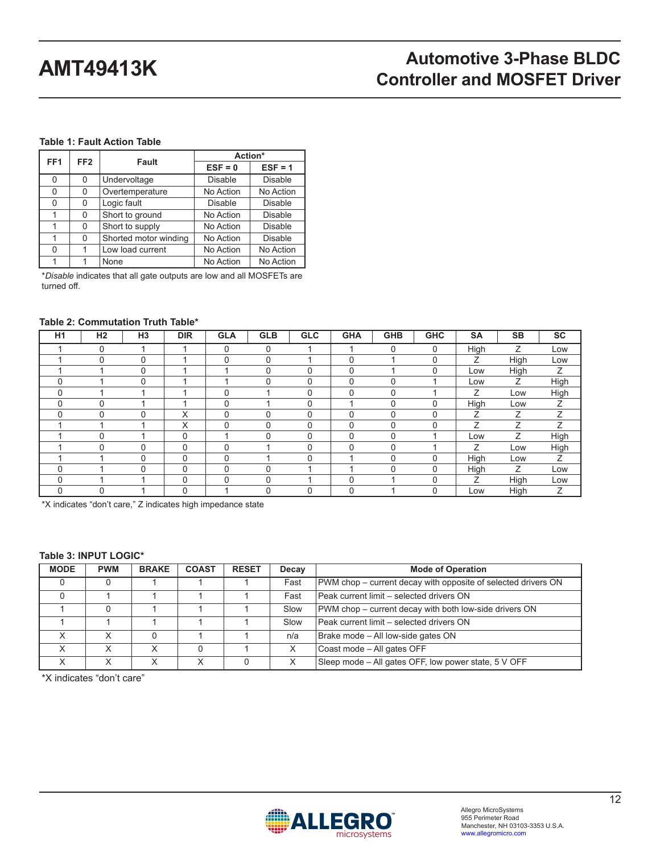### <span id="page-11-2"></span>**Table 1: Fault Action Table**

| FF <sub>1</sub> | FF <sub>2</sub> |                       | Action*        |                |  |  |
|-----------------|-----------------|-----------------------|----------------|----------------|--|--|
|                 |                 | <b>Fault</b>          | $ESF = 0$      | $ESF = 1$      |  |  |
| 0               | 0               | Undervoltage          | <b>Disable</b> | <b>Disable</b> |  |  |
| $\Omega$        | 0               | Overtemperature       | No Action      | No Action      |  |  |
| 0               | 0               | Logic fault           | <b>Disable</b> | <b>Disable</b> |  |  |
|                 | 0               | Short to ground       | No Action      | <b>Disable</b> |  |  |
| 1               | 0               | Short to supply       | No Action      | <b>Disable</b> |  |  |
| 1               | 0               | Shorted motor winding | No Action      | <b>Disable</b> |  |  |
| 0               |                 | Low load current      | No Action      | No Action      |  |  |
|                 |                 | None                  | No Action      | No Action      |  |  |

\**Disable* indicates that all gate outputs are low and all MOSFETs are turned off.

### <span id="page-11-0"></span>**Table 2: Commutation Truth Table\***

| H1          | H <sub>2</sub> | H <sub>3</sub> | <b>DIR</b> | <b>GLA</b> | <b>GLB</b> | <b>GLC</b>  | <b>GHA</b> | <b>GHB</b> | <b>GHC</b>  | <b>SA</b>   | <b>SB</b> | <b>SC</b> |
|-------------|----------------|----------------|------------|------------|------------|-------------|------------|------------|-------------|-------------|-----------|-----------|
|             | $\Omega$       |                |            | $\Omega$   | 0          |             |            | 0          | $\mathbf 0$ | High        | Z         | Low       |
|             | $\Omega$       | $\Omega$       |            | $\Omega$   | $\Omega$   |             | 0          |            | $\mathbf 0$ | Z           | High      | Low       |
|             |                | $\mathbf 0$    |            |            | $\Omega$   | $\Omega$    | 0          |            | $\mathbf 0$ | Low         | High      | Ζ         |
| $\Omega$    |                | $\mathbf 0$    |            |            | 0          | $\Omega$    | U          |            |             | Low         | Ζ         | High      |
| $\Omega$    |                |                |            | $\Omega$   |            | $\Omega$    | 0          | $\Omega$   |             | Z           | Low       | High      |
| $\Omega$    | 0              |                |            | $\Omega$   |            | 0           |            | $\Omega$   | $\mathbf 0$ | High        | Low       | Ζ         |
| $\Omega$    | $\Omega$       | $\Omega$       | X          | $\Omega$   | $\Omega$   | $\Omega$    | 0          | $\Omega$   | $\Omega$    | Z           | Ζ         | Z         |
|             |                |                | X          | $\Omega$   | 0          | $\Omega$    | 0          | $\Omega$   | $\mathbf 0$ | Z           | Ζ         | Ζ         |
|             | 0              |                | 0          |            | 0          | $\Omega$    | O          | $\Omega$   |             | Low         | Z.        | High      |
|             | $\Omega$       | $\Omega$       | 0          | $\Omega$   |            | $\Omega$    | 0          | $\Omega$   |             | Ζ           | Low       | High      |
|             |                | $\Omega$       | 0          | $\Omega$   |            | $\Omega$    |            | $\Omega$   | $\mathbf 0$ | High        | Low       | Z         |
| $\Omega$    |                | $\Omega$       | 0          | $\Omega$   | $\Omega$   |             |            | $\Omega$   | $\mathbf 0$ | <b>High</b> | Ζ         | Low       |
| $\Omega$    |                |                | 0          | $\Omega$   | $\Omega$   |             | ი          |            | $\mathbf 0$ | Ζ           | High      | Low       |
| $\mathbf 0$ | $\mathbf 0$    |                | 0          |            | 0          | $\mathbf 0$ | 0          |            | $\mathbf 0$ | Low         | High      | Ζ         |

\*X indicates "don't care," Z indicates high impedance state

### <span id="page-11-1"></span>**Table 3: INPUT LOGIC\***

| <b>MODE</b> | <b>PWM</b> | <b>BRAKE</b> | <b>COAST</b> | <b>RESET</b> | Decay                                                          | <b>Mode of Operation</b>                                      |
|-------------|------------|--------------|--------------|--------------|----------------------------------------------------------------|---------------------------------------------------------------|
|             |            |              |              |              | Fast                                                           | PWM chop – current decay with opposite of selected drivers ON |
|             |            |              |              |              | Fast<br>Peak current limit – selected drivers ON               |                                                               |
|             |            |              |              |              | PWM chop – current decay with both low-side drivers ON<br>Slow |                                                               |
|             |            |              |              |              | Slow<br>Peak current limit – selected drivers ON               |                                                               |
| X           |            |              |              |              | n/a                                                            | Brake mode - All low-side gates ON                            |
| X           |            | v            |              |              |                                                                | Coast mode - All gates OFF                                    |
| X           |            | X            |              |              |                                                                | Sleep mode – All gates OFF, low power state, 5 V OFF          |

\*X indicates "don't care"

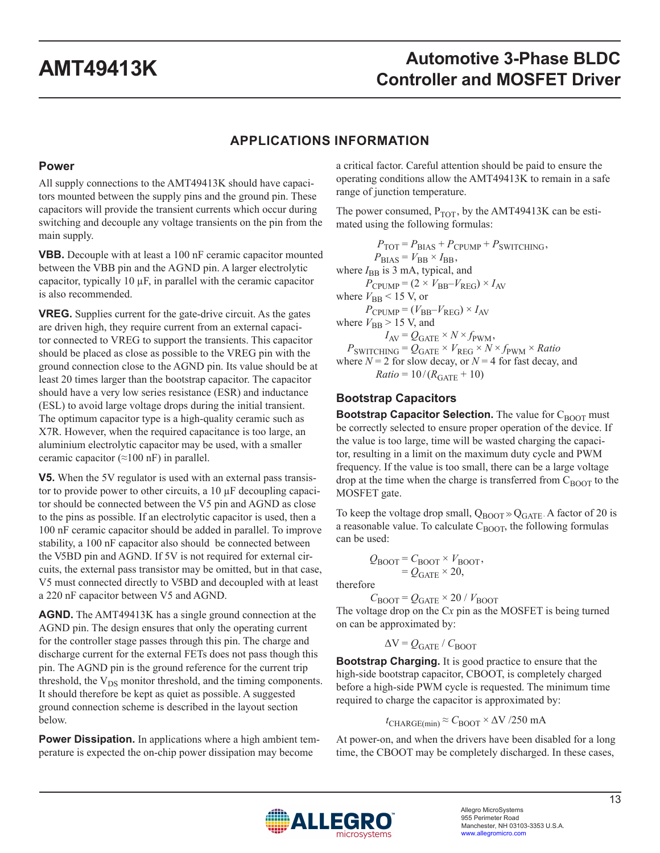## **APPLICATIONS INFORMATION**

### **Power**

All supply connections to the AMT49413K should have capacitors mounted between the supply pins and the ground pin. These capacitors will provide the transient currents which occur during switching and decouple any voltage transients on the pin from the main supply.

**VBB.** Decouple with at least a 100 nF ceramic capacitor mounted between the VBB pin and the AGND pin. A larger electrolytic capacitor, typically  $10 \mu$ F, in parallel with the ceramic capacitor is also recommended.

**VREG.** Supplies current for the gate-drive circuit. As the gates are driven high, they require current from an external capacitor connected to VREG to support the transients. This capacitor should be placed as close as possible to the VREG pin with the ground connection close to the AGND pin. Its value should be at least 20 times larger than the bootstrap capacitor. The capacitor should have a very low series resistance (ESR) and inductance (ESL) to avoid large voltage drops during the initial transient. The optimum capacitor type is a high-quality ceramic such as X7R. However, when the required capacitance is too large, an aluminium electrolytic capacitor may be used, with a smaller ceramic capacitor ( $\approx$ 100 nF) in parallel.

**V5.** When the 5V regulator is used with an external pass transistor to provide power to other circuits, a  $10 \mu$ F decoupling capacitor should be connected between the V5 pin and AGND as close to the pins as possible. If an electrolytic capacitor is used, then a 100 nF ceramic capacitor should be added in parallel. To improve stability, a 100 nF capacitor also should be connected between the V5BD pin and AGND. If 5V is not required for external circuits, the external pass transistor may be omitted, but in that case, V5 must connected directly to V5BD and decoupled with at least a 220 nF capacitor between V5 and AGND.

**AGND.** The AMT49413K has a single ground connection at the AGND pin. The design ensures that only the operating current for the controller stage passes through this pin. The charge and discharge current for the external FETs does not pass though this pin. The AGND pin is the ground reference for the current trip threshold, the  $V_{DS}$  monitor threshold, and the timing components. It should therefore be kept as quiet as possible. A suggested ground connection scheme is described in the layout section below.

**Power Dissipation.** In applications where a high ambient temperature is expected the on-chip power dissipation may become

a critical factor. Careful attention should be paid to ensure the operating conditions allow the AMT49413K to remain in a safe range of junction temperature.

The power consumed,  $P_{TOT}$ , by the AMT49413K can be estimated using the following formulas:

 $P_{\text{TOT}} = P_{\text{BIAS}} + P_{\text{CPUMP}} + P_{\text{SWITCHING}}$  $P_{\text{BIAS}} = V_{\text{BB}} \times I_{\text{BB}}$ , where  $I_{\text{BB}}$  is 3 mA, typical, and  $P_{\text{CPUMP}} = (2 \times V_{\text{BB}} - V_{\text{REG}}) \times I_{\text{AV}}$ where  $V_{\text{BB}}$  < 15 V, or  $P_{\text{CPUMP}} = (V_{\text{BB}} - V_{\text{REG}}) \times I_{\text{AV}}$ where  $V_{\text{BB}}$  > 15 V, and  $I_{AV} = Q_{GATE} \times N \times f_{PWM}$ ,  $P_{\text{SWITCHING}} = Q_{\text{GATE}} \times V_{\text{REG}} \times N \times f_{\text{PWM}} \times Ratio$ where  $N = 2$  for slow decay, or  $N = 4$  for fast decay, and  $Ratio = 10/(R_{GATE} + 10)$ 

### **Bootstrap Capacitors**

**Bootstrap Capacitor Selection.** The value for C<sub>BOOT</sub> must be correctly selected to ensure proper operation of the device. If the value is too large, time will be wasted charging the capacitor, resulting in a limit on the maximum duty cycle and PWM frequency. If the value is too small, there can be a large voltage drop at the time when the charge is transferred from  $C_{\text{BOOT}}$  to the MOSFET gate.

To keep the voltage drop small,  $Q_{\text{BOOT}} \gg Q_{\text{GATE}}$ . A factor of 20 is a reasonable value. To calculate  $C_{\text{BOOT}}$ , the following formulas can be used:

$$
Q_{\text{BOOT}} = C_{\text{BOOT}} \times V_{\text{BOOT}},
$$
  
=  $Q_{\text{GATE}} \times 20,$ 

therefore

$$
C_{\text{BOOT}} = Q_{\text{GATE}} \times 20 / V_{\text{BOOT}}
$$

The voltage drop on the C*x* pin as the MOSFET is being turned on can be approximated by:

$$
\Delta V = Q_{GATE} / C_{BOOT}
$$

**Bootstrap Charging.** It is good practice to ensure that the high-side bootstrap capacitor, CBOOT, is completely charged before a high-side PWM cycle is requested. The minimum time required to charge the capacitor is approximated by:

$$
t_{\text{CHARGE}(\text{min})} \approx C_{\text{BOOT}} \times \Delta V / 250 \text{ mA}
$$

At power-on, and when the drivers have been disabled for a long time, the CBOOT may be completely discharged. In these cases,

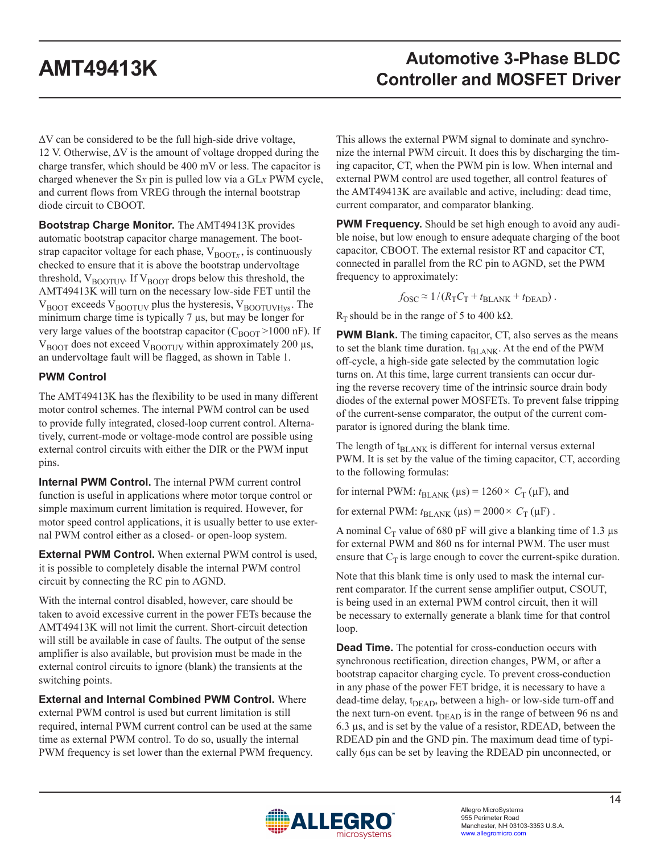$\Delta V$  can be considered to be the full high-side drive voltage, 12 V. Otherwise,  $\Delta V$  is the amount of voltage dropped during the charge transfer, which should be 400 mV or less. The capacitor is charged whenever the S*x* pin is pulled low via a GL*x* PWM cycle, and current flows from VREG through the internal bootstrap diode circuit to CBOOT.

**Bootstrap Charge Monitor.** The AMT49413K provides automatic bootstrap capacitor charge management. The bootstrap capacitor voltage for each phase,  $V_{\text{BOOT}x}$ , is continuously checked to ensure that it is above the bootstrap undervoltage threshold,  $V_{\text{BOOTUV}}$ . If  $V_{\text{BOOT}}$  drops below this threshold, the AMT49413K will turn on the necessary low-side FET until the  $V_{\text{BOOT}}$  exceeds  $V_{\text{BOOTUV}}$  plus the hysteresis,  $V_{\text{BOOTUVHvs}}$ . The minimum charge time is typically 7  $\mu$ s, but may be longer for very large values of the bootstrap capacitor  $(C_{\text{BOOT}} > 1000 \text{ nF})$ . If  $V_{\text{BOOT}}$  does not exceed  $V_{\text{BOOTUV}}$  within approximately 200  $\mu$ s, an undervoltage fault will be flagged, as shown in [Table 1.](#page-11-2)

### **PWM Control**

The AMT49413K has the flexibility to be used in many different motor control schemes. The internal PWM control can be used to provide fully integrated, closed-loop current control. Alternatively, current-mode or voltage-mode control are possible using external control circuits with either the DIR or the PWM input pins.

**Internal PWM Control.** The internal PWM current control function is useful in applications where motor torque control or simple maximum current limitation is required. However, for motor speed control applications, it is usually better to use external PWM control either as a closed- or open-loop system.

**External PWM Control.** When external PWM control is used, it is possible to completely disable the internal PWM control circuit by connecting the RC pin to AGND.

With the internal control disabled, however, care should be taken to avoid excessive current in the power FETs because the AMT49413K will not limit the current. Short-circuit detection will still be available in case of faults. The output of the sense amplifier is also available, but provision must be made in the external control circuits to ignore (blank) the transients at the switching points.

**External and Internal Combined PWM Control.** Where external PWM control is used but current limitation is still required, internal PWM current control can be used at the same time as external PWM control. To do so, usually the internal PWM frequency is set lower than the external PWM frequency. This allows the external PWM signal to dominate and synchronize the internal PWM circuit. It does this by discharging the timing capacitor, CT, when the PWM pin is low. When internal and external PWM control are used together, all control features of the AMT49413K are available and active, including: dead time, current comparator, and comparator blanking.

**PWM Frequency.** Should be set high enough to avoid any audible noise, but low enough to ensure adequate charging of the boot capacitor, CBOOT. The external resistor RT and capacitor CT, connected in parallel from the RC pin to AGND, set the PWM frequency to approximately:

 $f_{\rm OSC} \approx 1/(R_{\rm T}C_{\rm T} + t_{\rm BLANK} + t_{\rm DEAD})$ .

R<sub>T</sub> should be in the range of 5 to 400 kΩ.

**PWM Blank.** The timing capacitor, CT, also serves as the means to set the blank time duration.  $t_{BLANK}$ . At the end of the PWM off-cycle, a high-side gate selected by the commutation logic turns on. At this time, large current transients can occur during the reverse recovery time of the intrinsic source drain body diodes of the external power MOSFETs. To prevent false tripping of the current-sense comparator, the output of the current comparator is ignored during the blank time.

The length of  $t_{BLANK}$  is different for internal versus external PWM. It is set by the value of the timing capacitor, CT, according to the following formulas:

for internal PWM:  $t_{BLANK}$  ( $\mu$ s) = 1260 ×  $C_T$  ( $\mu$ F), and

for external PWM:  $t_{\text{BLANK}}$  ( $\mu$ s) = 2000 ×  $C_T$  ( $\mu$ F).

A nominal  $C_T$  value of 680 pF will give a blanking time of 1.3 µs for external PWM and 860 ns for internal PWM. The user must ensure that  $C_T$  is large enough to cover the current-spike duration.

Note that this blank time is only used to mask the internal current comparator. If the current sense amplifier output, CSOUT, is being used in an external PWM control circuit, then it will be necessary to externally generate a blank time for that control loop.

**Dead Time.** The potential for cross-conduction occurs with synchronous rectification, direction changes, PWM, or after a bootstrap capacitor charging cycle. To prevent cross-conduction in any phase of the power FET bridge, it is necessary to have a dead-time delay,  $t<sub>DEAD</sub>$ , between a high- or low-side turn-off and the next turn-on event.  $t_{DEAD}$  is in the range of between 96 ns and 6.3 µs, and is set by the value of a resistor, RDEAD, between the RDEAD pin and the GND pin. The maximum dead time of typically 6µs can be set by leaving the RDEAD pin unconnected, or

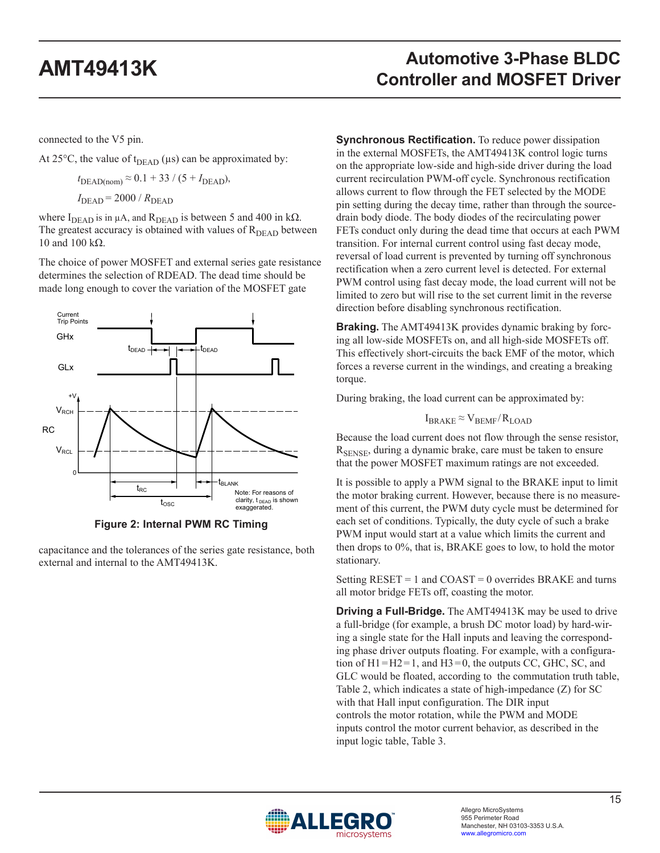connected to the V5 pin.

At 25 $\degree$ C, the value of t<sub>DEAD</sub> (µs) can be approximated by:

$$
t_{\text{DEAD(nom)}} \approx 0.1 + 33 / (5 + I_{\text{DEAD}}),
$$

 $I_{\text{DEAD}}$  = 2000 /  $R_{\text{DEAD}}$ 

where  $I_{DEAD}$  is in  $\mu$ A, and  $R_{DEAD}$  is between 5 and 400 in k $\Omega$ . The greatest accuracy is obtained with values of  $R<sub>DEAD</sub>$  between 10 and 100 kΩ.

The choice of power MOSFET and external series gate resistance determines the selection of RDEAD. The dead time should be made long enough to cover the variation of the MOSFET gate



**Figure 2: Internal PWM RC Timing**

capacitance and the tolerances of the series gate resistance, both external and internal to the AMT49413K.

**Synchronous Rectification.** To reduce power dissipation in the external MOSFETs, the AMT49413K control logic turns on the appropriate low-side and high-side driver during the load current recirculation PWM-off cycle. Synchronous rectification allows current to flow through the FET selected by the MODE pin setting during the decay time, rather than through the sourcedrain body diode. The body diodes of the recirculating power FETs conduct only during the dead time that occurs at each PWM transition. For internal current control using fast decay mode, reversal of load current is prevented by turning off synchronous rectification when a zero current level is detected. For external PWM control using fast decay mode, the load current will not be limited to zero but will rise to the set current limit in the reverse direction before disabling synchronous rectification.

**Braking.** The AMT49413K provides dynamic braking by forcing all low-side MOSFETs on, and all high-side MOSFETs off. This effectively short-circuits the back EMF of the motor, which forces a reverse current in the windings, and creating a breaking torque.

During braking, the load current can be approximated by:

$$
I_{BRAKE} \approx V_{BEMF}/R_{LOAD}
$$

Because the load current does not flow through the sense resistor,  $R_{\text{SENSE}}$ , during a dynamic brake, care must be taken to ensure that the power MOSFET maximum ratings are not exceeded.

It is possible to apply a PWM signal to the BRAKE input to limit the motor braking current. However, because there is no measurement of this current, the PWM duty cycle must be determined for each set of conditions. Typically, the duty cycle of such a brake PWM input would start at a value which limits the current and then drops to 0%, that is, BRAKE goes to low, to hold the motor stationary.

Setting  $RESET = 1$  and  $COAST = 0$  overrides BRAKE and turns all motor bridge FETs off, coasting the motor.

**Driving a Full-Bridge.** The AMT49413K may be used to drive a full-bridge (for example, a brush DC motor load) by hard-wiring a single state for the Hall inputs and leaving the corresponding phase driver outputs floating. For example, with a configuration of  $H1=H2=1$ , and  $H3=0$ , the outputs CC, GHC, SC, and GLC would be floated, according to the commutation truth table, [Table 2,](#page-11-0) which indicates a state of high-impedance (Z) for SC with that Hall input configuration. The DIR input controls the motor rotation, while the PWM and MODE inputs control the motor current behavior, as described in the input logic table, [Table 3](#page-11-1).

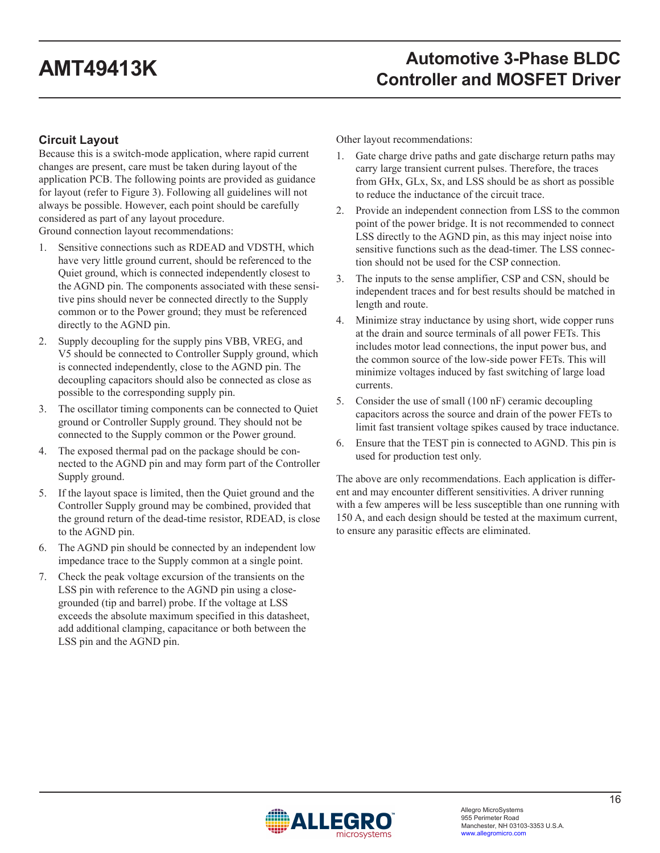### **Circuit Layout**

Because this is a switch-mode application, where rapid current changes are present, care must be taken during layout of the application PCB. The following points are provided as guidance for layout (refer to [Figure 3](#page-16-0)). Following all guidelines will not always be possible. However, each point should be carefully considered as part of any layout procedure. Ground connection layout recommendations:

- 1. Sensitive connections such as RDEAD and VDSTH, which have very little ground current, should be referenced to the Quiet ground, which is connected independently closest to the AGND pin. The components associated with these sensitive pins should never be connected directly to the Supply common or to the Power ground; they must be referenced directly to the AGND pin.
- 2. Supply decoupling for the supply pins VBB, VREG, and V5 should be connected to Controller Supply ground, which is connected independently, close to the AGND pin. The decoupling capacitors should also be connected as close as possible to the corresponding supply pin.
- 3. The oscillator timing components can be connected to Quiet ground or Controller Supply ground. They should not be connected to the Supply common or the Power ground.
- 4. The exposed thermal pad on the package should be connected to the AGND pin and may form part of the Controller Supply ground.
- 5. If the layout space is limited, then the Quiet ground and the Controller Supply ground may be combined, provided that the ground return of the dead-time resistor, RDEAD, is close to the AGND pin.
- 6. The AGND pin should be connected by an independent low impedance trace to the Supply common at a single point.
- 7. Check the peak voltage excursion of the transients on the LSS pin with reference to the AGND pin using a closegrounded (tip and barrel) probe. If the voltage at LSS exceeds the absolute maximum specified in this datasheet, add additional clamping, capacitance or both between the LSS pin and the AGND pin.

Other layout recommendations:

- 1. Gate charge drive paths and gate discharge return paths may carry large transient current pulses. Therefore, the traces from GHx, GLx, Sx, and LSS should be as short as possible to reduce the inductance of the circuit trace.
- 2. Provide an independent connection from LSS to the common point of the power bridge. It is not recommended to connect LSS directly to the AGND pin, as this may inject noise into sensitive functions such as the dead-timer. The LSS connection should not be used for the CSP connection.
- 3. The inputs to the sense amplifier, CSP and CSN, should be independent traces and for best results should be matched in length and route.
- 4. Minimize stray inductance by using short, wide copper runs at the drain and source terminals of all power FETs. This includes motor lead connections, the input power bus, and the common source of the low-side power FETs. This will minimize voltages induced by fast switching of large load currents.
- 5. Consider the use of small (100 nF) ceramic decoupling capacitors across the source and drain of the power FETs to limit fast transient voltage spikes caused by trace inductance.
- 6. Ensure that the TEST pin is connected to AGND. This pin is used for production test only.

The above are only recommendations. Each application is different and may encounter different sensitivities. A driver running with a few amperes will be less susceptible than one running with 150 A, and each design should be tested at the maximum current, to ensure any parasitic effects are eliminated.

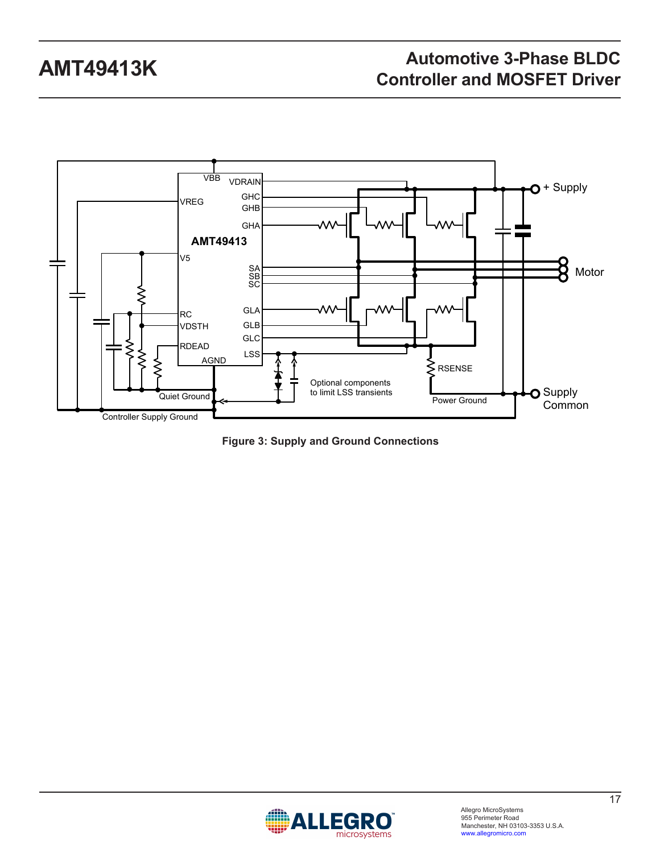

<span id="page-16-0"></span>**Figure 3: Supply and Ground Connections**

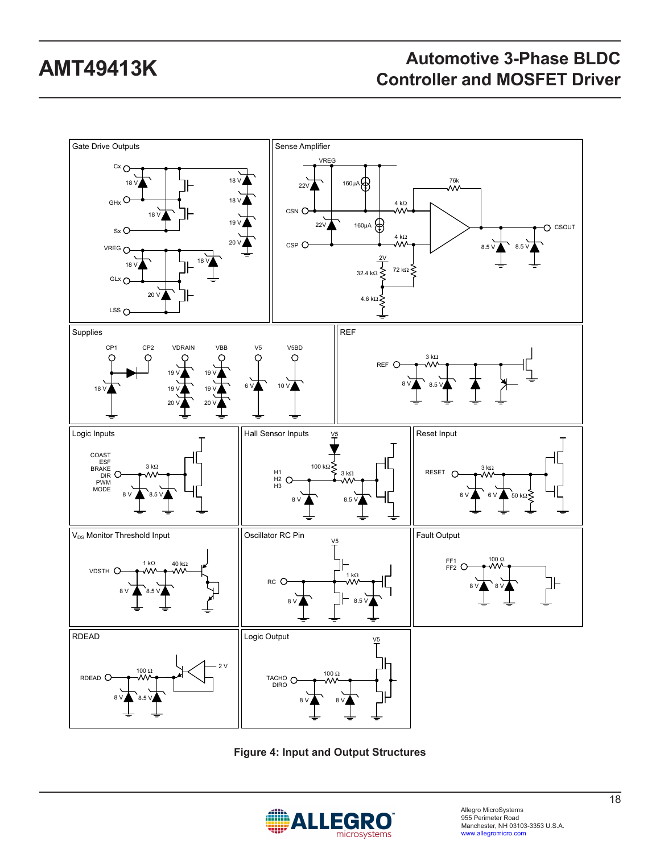

**Figure 4: Input and Output Structures**

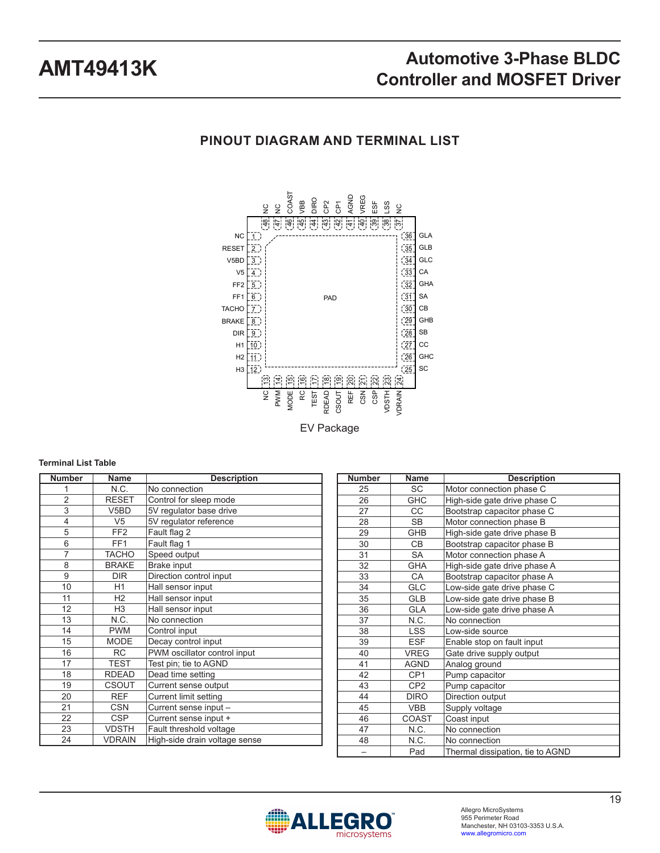## **PINOUT DIAGRAM AND TERMINAL LIST**



### **Terminal List Table**

| <b>Number</b>  | <b>Name</b>       | <b>Description</b>            |
|----------------|-------------------|-------------------------------|
| 1              | N.C.              | No connection                 |
| $\overline{2}$ | <b>RESET</b>      | Control for sleep mode        |
| $\overline{3}$ | V <sub>5</sub> BD | 5V regulator base drive       |
| 4              | V <sub>5</sub>    | 5V regulator reference        |
| 5              | FF <sub>2</sub>   | Fault flag 2                  |
| 6              | FF <sub>1</sub>   | Fault flag 1                  |
| 7              | <b>TACHO</b>      | Speed output                  |
| 8              | <b>BRAKE</b>      | Brake input                   |
| 9              | <b>DIR</b>        | Direction control input       |
| 10             | H1                | Hall sensor input             |
| 11             | H <sub>2</sub>    | Hall sensor input             |
| 12             | H <sub>3</sub>    | Hall sensor input             |
| 13             | N.C.              | No connection                 |
| 14             | <b>PWM</b>        | Control input                 |
| 15             | <b>MODE</b>       | Decay control input           |
| 16             | <b>RC</b>         | PWM oscillator control input  |
| 17             | <b>TEST</b>       | Test pin; tie to AGND         |
| 18             | <b>RDEAD</b>      | Dead time setting             |
| 19             | <b>CSOUT</b>      | Current sense output          |
| 20             | <b>REF</b>        | Current limit setting         |
| 21             | <b>CSN</b>        | Current sense input -         |
| 22             | <b>CSP</b>        | Current sense input +         |
| 23             | <b>VDSTH</b>      | Fault threshold voltage       |
| 24             | <b>VDRAIN</b>     | High-side drain voltage sense |

| <b>Number</b> | Name            | <b>Description</b>               |
|---------------|-----------------|----------------------------------|
| 25            | <b>SC</b>       | Motor connection phase C         |
| 26            | <b>GHC</b>      | High-side gate drive phase C     |
| 27            | CC              | Bootstrap capacitor phase C      |
| 28            | <b>SB</b>       | Motor connection phase B         |
| 29            | <b>GHB</b>      | High-side gate drive phase B     |
| 30            | <b>CB</b>       | Bootstrap capacitor phase B      |
| 31            | <b>SA</b>       | Motor connection phase A         |
| 32            | GHA             | High-side gate drive phase A     |
| 33            | CA              | Bootstrap capacitor phase A      |
| 34            | <b>GLC</b>      | Low-side gate drive phase C      |
| 35            | <b>GLB</b>      | Low-side gate drive phase B      |
| 36            | <b>GLA</b>      | Low-side gate drive phase A      |
| 37            | N.C.            | No connection                    |
| 38            | LSS             | Low-side source                  |
| 39            | <b>ESF</b>      | Enable stop on fault input       |
| 40            | <b>VREG</b>     | Gate drive supply output         |
| 41            | <b>AGND</b>     | Analog ground                    |
| 42            | CP <sub>1</sub> | Pump capacitor                   |
| 43            | CP <sub>2</sub> | Pump capacitor                   |
| 44            | <b>DIRO</b>     | Direction output                 |
| 45            | <b>VBB</b>      | Supply voltage                   |
| 46            | COAST           | Coast input                      |
| 47            | N.C.            | No connection                    |
| 48            | N.C.            | No connection                    |
|               | Pad             | Thermal dissipation, tie to AGND |

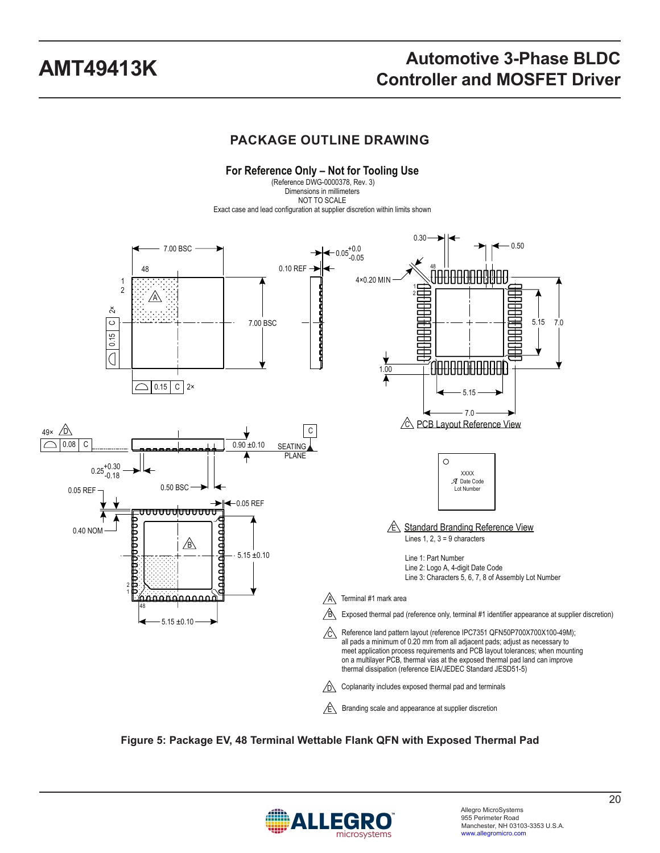## **PACKAGE OUTLINE DRAWING**